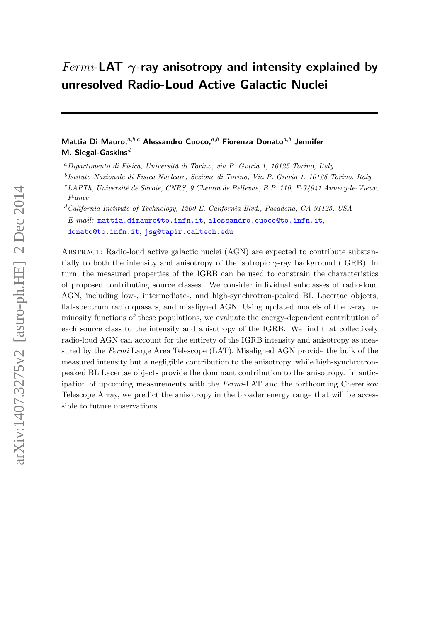# $Fermi$ -LAT  $\gamma$ -ray anisotropy and intensity explained by unresolved Radio-Loud Active Galactic Nuclei

# Mattia Di Mauro,  $a,b,c$  Alessandro Cuoco,  $a,b$  Fiorenza Donato $a,b$  Jennifer M. Siegal-Gaskins $^d$

<sup>a</sup> Dipartimento di Fisica, Università di Torino, via P. Giuria 1, 10125 Torino, Italy

- b Istituto Nazionale di Fisica Nucleare, Sezione di Torino, Via P. Giuria 1, 10125 Torino, Italy
- $c\text{LAPT}$ h, Université de Savoie, CNRS, 9 Chemin de Bellevue, B.P. 110, F-74941 Annecy-le-Vieux, France

 $d$ California Institute of Technology, 1200 E. California Blvd., Pasadena, CA 91125, USA E-mail: [mattia.dimauro@to.infn.it](mailto:mattia.dimauro@to.infn.it), [alessandro.cuoco@to.infn.it](mailto:alessandro.cuoco@to.infn.it), [donato@to.infn.it](mailto:donato@to.infn.it), [jsg@tapir.caltech.edu](mailto:jsg@tapir.caltech.edu)

ABSTRACT: Radio-loud active galactic nuclei (AGN) are expected to contribute substantially to both the intensity and anisotropy of the isotropic  $\gamma$ -ray background (IGRB). In turn, the measured properties of the IGRB can be used to constrain the characteristics of proposed contributing source classes. We consider individual subclasses of radio-loud AGN, including low-, intermediate-, and high-synchrotron-peaked BL Lacertae objects, flat-spectrum radio quasars, and misaligned AGN. Using updated models of the  $\gamma$ -ray luminosity functions of these populations, we evaluate the energy-dependent contribution of each source class to the intensity and anisotropy of the IGRB. We find that collectively radio-loud AGN can account for the entirety of the IGRB intensity and anisotropy as measured by the Fermi Large Area Telescope (LAT). Misaligned AGN provide the bulk of the measured intensity but a negligible contribution to the anisotropy, while high-synchrotronpeaked BL Lacertae objects provide the dominant contribution to the anisotropy. In anticipation of upcoming measurements with the Fermi-LAT and the forthcoming Cherenkov Telescope Array, we predict the anisotropy in the broader energy range that will be accessible to future observations.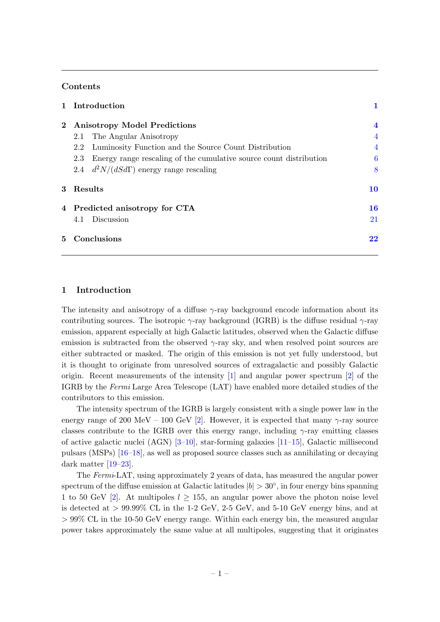### Contents

|                | 1 Introduction                                                            |                |  |  |  |
|----------------|---------------------------------------------------------------------------|----------------|--|--|--|
| $2^{\circ}$    | <b>Anisotropy Model Predictions</b>                                       |                |  |  |  |
|                | The Angular Anisotropy<br>2.1                                             | $\overline{4}$ |  |  |  |
|                | Luminosity Function and the Source Count Distribution<br>2.2              | $\overline{4}$ |  |  |  |
|                | Energy range rescaling of the cumulative source count distribution<br>2.3 | 6              |  |  |  |
|                | 2.4 $d^2N/(dSd\Gamma)$ energy range rescaling                             | 8              |  |  |  |
| $\mathbf{3}^-$ | Results                                                                   | 10             |  |  |  |
|                | 4 Predicted anisotropy for CTA                                            | 16             |  |  |  |
|                | <b>Discussion</b><br>4.1                                                  | 21             |  |  |  |
| $5^{\circ}$    | Conclusions                                                               | 22             |  |  |  |

### <span id="page-1-0"></span>1 Introduction

The intensity and anisotropy of a diffuse  $\gamma$ -ray background encode information about its contributing sources. The isotropic  $\gamma$ -ray background (IGRB) is the diffuse residual  $\gamma$ -ray emission, apparent especially at high Galactic latitudes, observed when the Galactic diffuse emission is subtracted from the observed  $\gamma$ -ray sky, and when resolved point sources are either subtracted or masked. The origin of this emission is not yet fully understood, but it is thought to originate from unresolved sources of extragalactic and possibly Galactic origin. Recent measurements of the intensity [\[1\]](#page-23-0) and angular power spectrum [\[2\]](#page-23-1) of the IGRB by the Fermi Large Area Telescope (LAT) have enabled more detailed studies of the contributors to this emission.

The intensity spectrum of the IGRB is largely consistent with a single power law in the energy range of 200 MeV – 100 GeV [\[2\]](#page-23-1). However, it is expected that many  $\gamma$ -ray source classes contribute to the IGRB over this energy range, including  $\gamma$ -ray emitting classes of active galactic nuclei (AGN)  $[3-10]$  $[3-10]$ , star-forming galaxies  $[11-15]$  $[11-15]$ , Galactic millisecond pulsars (MSPs) [\[16–](#page-23-6)[18\]](#page-24-0), as well as proposed source classes such as annihilating or decaying dark matter [\[19–](#page-24-1)[23\]](#page-24-2).

The Fermi-LAT, using approximately 2 years of data, has measured the angular power spectrum of the diffuse emission at Galactic latitudes  $|b| > 30^{\circ}$ , in four energy bins spanning 1 to 50 GeV [\[2\]](#page-23-1). At multipoles  $l > 155$ , an angular power above the photon noise level is detected at  $> 99.99\%$  CL in the 1-2 GeV, 2-5 GeV, and 5-10 GeV energy bins, and at  $> 99\%$  CL in the 10-50 GeV energy range. Within each energy bin, the measured angular power takes approximately the same value at all multipoles, suggesting that it originates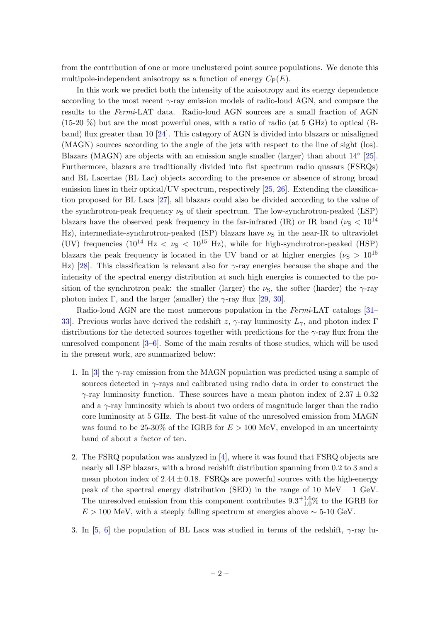from the contribution of one or more unclustered point source populations. We denote this multipole-independent anisotropy as a function of energy  $C_P(E)$ .

In this work we predict both the intensity of the anisotropy and its energy dependence according to the most recent  $\gamma$ -ray emission models of radio-loud AGN, and compare the results to the Fermi-LAT data. Radio-loud AGN sources are a small fraction of AGN  $(15{\text -}20\%)$  but are the most powerful ones, with a ratio of radio (at 5 GHz) to optical (Bband) flux greater than 10 [\[24\]](#page-24-3). This category of AGN is divided into blazars or misaligned (MAGN) sources according to the angle of the jets with respect to the line of sight (los). Blazars (MAGN) are objects with an emission angle smaller (larger) than about  $14^{\circ}$  [\[25\]](#page-24-4). Furthermore, blazars are traditionally divided into flat spectrum radio quasars (FSRQs) and BL Lacertae (BL Lac) objects according to the presence or absence of strong broad emission lines in their optical/UV spectrum, respectively  $[25, 26]$  $[25, 26]$ . Extending the classification proposed for BL Lacs [\[27\]](#page-24-6), all blazars could also be divided according to the value of the synchrotron-peak frequency  $\nu$ s of their spectrum. The low-synchrotron-peaked (LSP) blazars have the observed peak frequency in the far-infrared (IR) or IR band ( $\nu$ <sub>S</sub> < 10<sup>14</sup> Hz), intermediate-synchrotron-peaked (ISP) blazars have  $\nu$ s in the near-IR to ultraviolet (UV) frequencies  $(10^{14} \text{ Hz} < \nu_s < 10^{15} \text{ Hz})$ , while for high-synchrotron-peaked (HSP) blazars the peak frequency is located in the UV band or at higher energies ( $\nu$ <sub>S</sub> > 10<sup>15</sup>) Hz) [\[28\]](#page-24-7). This classification is relevant also for  $\gamma$ -ray energies because the shape and the intensity of the spectral energy distribution at such high energies is connected to the position of the synchrotron peak: the smaller (larger) the  $\nu$ s, the softer (harder) the  $\gamma$ -ray photon index Γ, and the larger (smaller) the  $\gamma$ -ray flux [\[29,](#page-24-8) [30\]](#page-24-9).

Radio-loud AGN are the most numerous population in the Fermi-LAT catalogs [\[31–](#page-24-10) [33\]](#page-24-11). Previous works have derived the redshift z,  $\gamma$ -ray luminosity  $L_{\gamma}$ , and photon index Γ distributions for the detected sources together with predictions for the  $\gamma$ -ray flux from the unresolved component  $[3-6]$  $[3-6]$ . Some of the main results of those studies, which will be used in the present work, are summarized below:

- 1. In [\[3\]](#page-23-2) the  $\gamma$ -ray emission from the MAGN population was predicted using a sample of sources detected in  $\gamma$ -rays and calibrated using radio data in order to construct the  $\gamma$ -ray luminosity function. These sources have a mean photon index of 2.37  $\pm$  0.32 and a  $\gamma$ -ray luminosity which is about two orders of magnitude larger than the radio core luminosity at 5 GHz. The best-fit value of the unresolved emission from MAGN was found to be 25-30% of the IGRB for  $E > 100$  MeV, enveloped in an uncertainty band of about a factor of ten.
- 2. The FSRQ population was analyzed in [\[4\]](#page-23-8), where it was found that FSRQ objects are nearly all LSP blazars, with a broad redshift distribution spanning from 0.2 to 3 and a mean photon index of  $2.44 \pm 0.18$ . FSRQs are powerful sources with the high-energy peak of the spectral energy distribution (SED) in the range of 10 MeV – 1 GeV. The unresolved emission from this component contributes  $9.3^{+1.6}_{-1.0}\%$  to the IGRB for  $E > 100$  MeV, with a steeply falling spectrum at energies above ~ 5-10 GeV.
- 3. In [\[5,](#page-23-9) [6\]](#page-23-7) the population of BL Lacs was studied in terms of the redshift,  $\gamma$ -ray lu-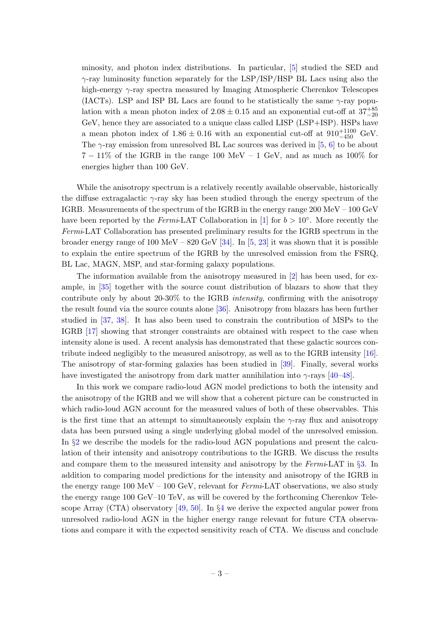minosity, and photon index distributions. In particular, [\[5\]](#page-23-9) studied the SED and  $\gamma$ -ray luminosity function separately for the LSP/ISP/HSP BL Lacs using also the high-energy γ-ray spectra measured by Imaging Atmospheric Cherenkov Telescopes (IACTs). LSP and ISP BL Lacs are found to be statistically the same  $\gamma$ -ray population with a mean photon index of  $2.08 \pm 0.15$  and an exponential cut-off at  $37^{+85}_{-20}$ GeV, hence they are associated to a unique class called LISP (LSP+ISP). HSPs have a mean photon index of  $1.86 \pm 0.16$  with an exponential cut-off at  $910^{+1100}_{-450}$  GeV. The  $\gamma$ -ray emission from unresolved BL Lac sources was derived in [\[5,](#page-23-9) [6\]](#page-23-7) to be about  $7 - 11\%$  of the IGRB in the range 100 MeV – 1 GeV, and as much as 100% for energies higher than 100 GeV.

While the anisotropy spectrum is a relatively recently available observable, historically the diffuse extragalactic  $\gamma$ -ray sky has been studied through the energy spectrum of the IGRB. Measurements of the spectrum of the IGRB in the energy range 200 MeV – 100 GeV have been reported by the Fermi-LAT Collaboration in [\[1\]](#page-23-0) for  $b > 10°$ . More recently the Fermi-LAT Collaboration has presented preliminary results for the IGRB spectrum in the broader energy range of 100 MeV – 820 GeV [\[34\]](#page-24-12). In [\[5,](#page-23-9) [23\]](#page-24-2) it was shown that it is possible to explain the entire spectrum of the IGRB by the unresolved emission from the FSRQ, BL Lac, MAGN, MSP, and star-forming galaxy populations.

The information available from the anisotropy measured in [\[2\]](#page-23-1) has been used, for example, in [\[35\]](#page-25-0) together with the source count distribution of blazars to show that they contribute only by about 20-30% to the IGRB intensity, confirming with the anisotropy the result found via the source counts alone [\[36\]](#page-25-1). Anisotropy from blazars has been further studied in [\[37,](#page-25-2) [38\]](#page-25-3). It has also been used to constrain the contribution of MSPs to the IGRB [\[17\]](#page-24-13) showing that stronger constraints are obtained with respect to the case when intensity alone is used. A recent analysis has demonstrated that these galactic sources contribute indeed negligibly to the measured anisotropy, as well as to the IGRB intensity [\[16\]](#page-23-6). The anisotropy of star-forming galaxies has been studied in [\[39\]](#page-25-4). Finally, several works have investigated the anisotropy from dark matter annihilation into  $\gamma$ -rays [\[40](#page-25-5)[–48\]](#page-25-6).

In this work we compare radio-loud AGN model predictions to both the intensity and the anisotropy of the IGRB and we will show that a coherent picture can be constructed in which radio-loud AGN account for the measured values of both of these observables. This is the first time that an attempt to simultaneously explain the  $\gamma$ -ray flux and anisotropy data has been pursued using a single underlying global model of the unresolved emission. In §[2](#page-4-0) we describe the models for the radio-loud AGN populations and present the calculation of their intensity and anisotropy contributions to the IGRB. We discuss the results and compare them to the measured intensity and anisotropy by the  $Fermi$ -LAT in §[3.](#page-10-0) In addition to comparing model predictions for the intensity and anisotropy of the IGRB in the energy range 100 MeV – 100 GeV, relevant for  $Fermi$ -LAT observations, we also study the energy range 100 GeV–10 TeV, as will be covered by the forthcoming Cherenkov Tele-scope Array (CTA) observatory [\[49,](#page-25-7) [50\]](#page-25-8). In  $\S 4$  $\S 4$  we derive the expected angular power from unresolved radio-loud AGN in the higher energy range relevant for future CTA observations and compare it with the expected sensitivity reach of CTA. We discuss and conclude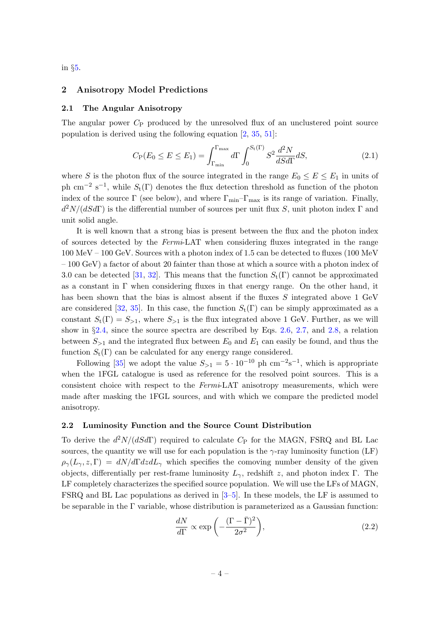in §[5.](#page-22-0)

### <span id="page-4-0"></span>2 Anisotropy Model Predictions

### <span id="page-4-1"></span>2.1 The Angular Anisotropy

The angular power  $C_{\rm P}$  produced by the unresolved flux of an unclustered point source population is derived using the following equation [\[2,](#page-23-1) [35,](#page-25-0) [51\]](#page-26-0):

<span id="page-4-3"></span>
$$
C_{\rm P}(E_0 \le E \le E_1) = \int_{\Gamma_{\rm min}}^{\Gamma_{\rm max}} d\Gamma \int_0^{S_{\rm t}(\Gamma)} S^2 \frac{d^2 N}{dS d\Gamma} dS, \tag{2.1}
$$

where S is the photon flux of the source integrated in the range  $E_0 \leq E \leq E_1$  in units of ph cm<sup>-2</sup> s<sup>-1</sup>, while  $S_t(\Gamma)$  denotes the flux detection threshold as function of the photon index of the source  $\Gamma$  (see below), and where  $\Gamma_{\text{min}}-\Gamma_{\text{max}}$  is its range of variation. Finally,  $d^2N/(dS d\Gamma)$  is the differential number of sources per unit flux S, unit photon index  $\Gamma$  and unit solid angle.

It is well known that a strong bias is present between the flux and the photon index of sources detected by the Fermi-LAT when considering fluxes integrated in the range 100 MeV – 100 GeV. Sources with a photon index of 1.5 can be detected to fluxes (100 MeV – 100 GeV) a factor of about 20 fainter than those at which a source with a photon index of 3.0 can be detected [\[31,](#page-24-10) [32\]](#page-24-14). This means that the function  $S_t(\Gamma)$  cannot be approximated as a constant in Γ when considering fluxes in that energy range. On the other hand, it has been shown that the bias is almost absent if the fluxes S integrated above 1 GeV are considered [\[32,](#page-24-14) [35\]](#page-25-0). In this case, the function  $S_t(\Gamma)$  can be simply approximated as a constant  $S_t(\Gamma) = S_{>1}$ , where  $S_{>1}$  is the flux integrated above 1 GeV. Further, as we will show in §[2.4,](#page-8-0) since the source spectra are described by Eqs. [2.6,](#page-7-0) [2.7,](#page-7-0) and [2.8,](#page-7-0) a relation between  $S_{>1}$  and the integrated flux between  $E_0$  and  $E_1$  can easily be found, and thus the function  $S_t(\Gamma)$  can be calculated for any energy range considered.

Following [\[35\]](#page-25-0) we adopt the value  $S_{>1} = 5 \cdot 10^{-10}$  ph cm<sup>-2</sup>s<sup>-1</sup>, which is appropriate when the 1FGL catalogue is used as reference for the resolved point sources. This is a consistent choice with respect to the Fermi-LAT anisotropy measurements, which were made after masking the 1FGL sources, and with which we compare the predicted model anisotropy.

### <span id="page-4-2"></span>2.2 Luminosity Function and the Source Count Distribution

To derive the  $d^2N/(dSd\Gamma)$  required to calculate  $C_P$  for the MAGN, FSRQ and BL Lac sources, the quantity we will use for each population is the  $\gamma$ -ray luminosity function (LF)  $\rho_{\gamma}(L_{\gamma}, z, \Gamma) = dN/d\Gamma dz dL_{\gamma}$  which specifies the comoving number density of the given objects, differentially per rest-frame luminosity  $L_{\gamma}$ , redshift z, and photon index Γ. The LF completely characterizes the specified source population. We will use the LFs of MAGN, FSRQ and BL Lac populations as derived in [\[3–](#page-23-2)[5\]](#page-23-9). In these models, the LF is assumed to be separable in the  $\Gamma$  variable, whose distribution is parameterized as a Gaussian function:

$$
\frac{dN}{d\Gamma} \propto \exp\left(-\frac{(\Gamma - \bar{\Gamma})^2}{2\sigma^2}\right),\tag{2.2}
$$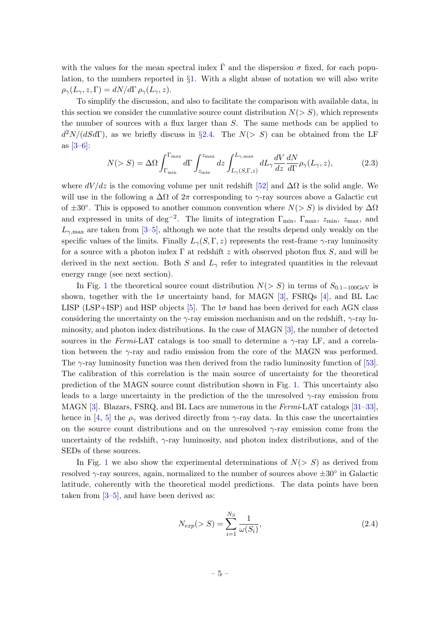with the values for the mean spectral index  $\overline{\Gamma}$  and the dispersion  $\sigma$  fixed, for each population, to the numbers reported in §[1.](#page-1-0) With a slight abuse of notation we will also write  $\rho_{\gamma}(L_{\gamma}, z, \Gamma) = dN/d\Gamma \rho_{\gamma}(L_{\gamma}, z).$ 

To simplify the discussion, and also to facilitate the comparison with available data, in this section we consider the cumulative source count distribution  $N(> S)$ , which represents the number of sources with a flux larger than S. The same methods can be applied to  $d^2N/(dSd\Gamma)$ , as we briefly discuss in §[2.4.](#page-8-0) The  $N(> S)$  can be obtained from the LF as [\[3–](#page-23-2)[6\]](#page-23-7):

$$
N(>S) = \Delta\Omega \int_{\Gamma_{\min}}^{\Gamma_{\max}} d\Gamma \int_{z_{\min}}^{z_{\max}} dz \int_{L_{\gamma}(S,\Gamma,z)}^{L_{\gamma,\max}} dL_{\gamma} \frac{dV}{dz} \frac{dN}{d\Gamma} \rho_{\gamma}(L_{\gamma},z), \tag{2.3}
$$

where  $dV/dz$  is the comoving volume per unit redshift [\[52\]](#page-26-1) and  $\Delta\Omega$  is the solid angle. We will use in the following a  $\Delta\Omega$  of  $2\pi$  corresponding to  $\gamma$ -ray sources above a Galactic cut of  $\pm 30^{\circ}$ . This is opposed to another common convention where  $N(> S)$  is divided by  $\Delta \Omega$ and expressed in units of deg<sup>-2</sup>. The limits of integration  $\Gamma_{\rm min}$ ,  $\Gamma_{\rm max}$ ,  $z_{\rm min}$ ,  $z_{\rm max}$ , and  $L_{\gamma,\text{max}}$  are taken from [\[3–](#page-23-2)[5\]](#page-23-9), although we note that the results depend only weakly on the specific values of the limits. Finally  $L_{\gamma}(S, \Gamma, z)$  represents the rest-frame  $\gamma$ -ray luminosity for a source with a photon index  $\Gamma$  at redshift z with observed photon flux S, and will be derived in the next section. Both S and  $L<sub>\gamma</sub>$  refer to integrated quantities in the relevant energy range (see next section).

In Fig. [1](#page-6-1) the theoretical source count distribution  $N(> S)$  in terms of  $S_{0.1-100\text{GeV}}$  is shown, together with the  $1\sigma$  uncertainty band, for MAGN [\[3\]](#page-23-2), FSRQs [\[4\]](#page-23-8), and BL Lac LISP (LSP+ISP) and HSP objects [\[5\]](#page-23-9). The  $1\sigma$  band has been derived for each AGN class considering the uncertainty on the  $\gamma$ -ray emission mechanism and on the redshift,  $\gamma$ -ray luminosity, and photon index distributions. In the case of MAGN [\[3\]](#page-23-2), the number of detected sources in the Fermi-LAT catalogs is too small to determine a  $\gamma$ -ray LF, and a correlation between the  $\gamma$ -ray and radio emission from the core of the MAGN was performed. The  $\gamma$ -ray luminosity function was then derived from the radio luminosity function of [\[53\]](#page-26-2). The calibration of this correlation is the main source of uncertainty for the theoretical prediction of the MAGN source count distribution shown in Fig. [1.](#page-6-1) This uncertainty also leads to a large uncertainty in the prediction of the the unresolved  $\gamma$ -ray emission from MAGN [\[3\]](#page-23-2). Blazars, FSRQ, and BL Lacs are numerous in the Fermi-LAT catalogs [\[31–](#page-24-10)[33\]](#page-24-11), hence in [\[4,](#page-23-8) [5\]](#page-23-9) the  $\rho_{\gamma}$  was derived directly from  $\gamma$ -ray data. In this case the uncertainties on the source count distributions and on the unresolved  $\gamma$ -ray emission come from the uncertainty of the redshift,  $\gamma$ -ray luminosity, and photon index distributions, and of the SEDs of these sources.

In Fig. [1](#page-6-1) we also show the experimental determinations of  $N(> S)$  as derived from resolved  $\gamma$ -ray sources, again, normalized to the number of sources above  $\pm 30^{\circ}$  in Galactic latitude, coherently with the theoretical model predictions. The data points have been taken from  $[3-5]$  $[3-5]$ , and have been derived as:

<span id="page-5-0"></span>
$$
N_{exp}(>S) = \sum_{i=1}^{N_S} \frac{1}{\omega(S_i)},
$$
\n(2.4)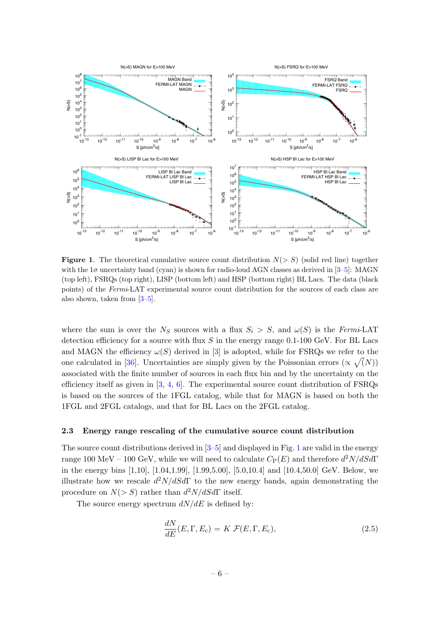

<span id="page-6-1"></span>**Figure 1.** The theoretical cumulative source count distribution  $N(>S)$  (solid red line) together with the  $1\sigma$  uncertainty band (cyan) is shown for radio-loud AGN classes as derived in [3-5]: MAGN (top left), FSRQs (top right), LISP (bottom left) and HSP (bottom right) BL Lacs. The data (black points) of the Fermi-LAT experimental source count distribution for the sources of each class are also shown, taken from  $[3-5]$ .

where the sum is over the  $N_S$  sources with a flux  $S_i > S$ , and  $\omega(S)$  is the Fermi-LAT detection efficiency for a source with flux  $S$  in the energy range 0.1-100 GeV. For BL Lacs and MAGN the efficiency  $\omega(S)$  derived in [3] is adopted, while for FSRQs we refer to the one calculated in [36]. Uncertainties are simply given by the Poissonian errors ( $\propto \sqrt(N)$ ) associated with the finite number of sources in each flux bin and by the uncertainty on the efficiency itself as given in  $[3, 4, 6]$ . The experimental source count distribution of  $FSRQs$ is based on the sources of the 1FGL catalog, while that for MAGN is based on both the 1FGL and 2FGL catalogs, and that for BL Lacs on the 2FGL catalog.

#### <span id="page-6-0"></span>2.3 Energy range rescaling of the cumulative source count distribution

The source count distributions derived in  $[3-5]$  and displayed in Fig. 1 are valid in the energy range 100 MeV – 100 GeV, while we will need to calculate  $C_P(E)$  and therefore  $d^2N/dSd\Gamma$ in the energy bins [1,10], [1.04,1.99], [1.99,5.00], [5.0,10.4] and [10.4,50.0] GeV. Below, we illustrate how we rescale  $d^2N/dSd\Gamma$  to the new energy bands, again demonstrating the procedure on  $N(>S)$  rather than  $d^2N/dS d\Gamma$  itself.

The source energy spectrum  $dN/dE$  is defined by:

$$
\frac{dN}{dE}(E, \Gamma, E_c) = K \mathcal{F}(E, \Gamma, E_c),\tag{2.5}
$$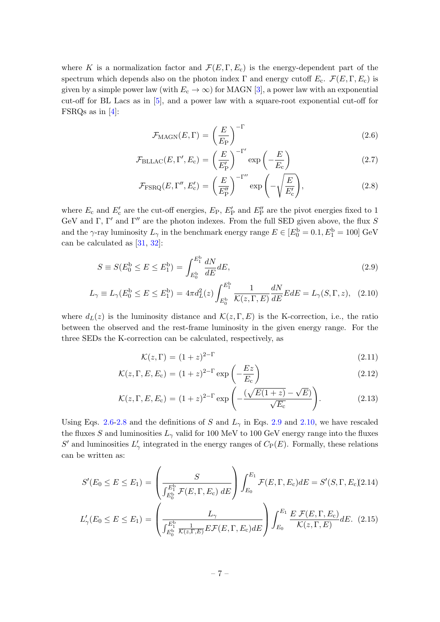where K is a normalization factor and  $\mathcal{F}(E,\Gamma, E_c)$  is the energy-dependent part of the spectrum which depends also on the photon index Γ and energy cutoff  $E_c$ .  $\mathcal{F}(E, \Gamma, E_c)$  is given by a simple power law (with  $E_c \to \infty$ ) for MAGN [\[3\]](#page-23-2), a power law with an exponential cut-off for BL Lacs as in [\[5\]](#page-23-9), and a power law with a square-root exponential cut-off for FSRQs as in  $[4]$ :

<span id="page-7-0"></span>
$$
\mathcal{F}_{\text{MAGN}}(E,\Gamma) = \left(\frac{E}{E_{\text{P}}}\right)^{-\Gamma} \tag{2.6}
$$

$$
\mathcal{F}_{\text{BLLAC}}(E, \Gamma', E_{\text{c}}) = \left(\frac{E}{E'_{\text{P}}}\right)^{-\Gamma'} \exp\left(-\frac{E}{E_{\text{c}}}\right)
$$
\n(2.7)

$$
\mathcal{F}_{\rm FSRQ}(E, \Gamma'', E'_{\rm c}) = \left(\frac{E}{E''_{\rm P}}\right)^{-\Gamma''} \exp\left(-\sqrt{\frac{E}{E'_{\rm c}}}\right),\tag{2.8}
$$

where  $E_c$  and  $E_c'$  are the cut-off energies,  $E_P$ ,  $E_P'$  and  $E_P''$  are the pivot energies fixed to 1 GeV and Γ, Γ' and Γ'' are the photon indexes. From the full SED given above, the flux S and the  $\gamma$ -ray luminosity  $L_{\gamma}$  in the benchmark energy range  $E \in [E_0^{\rm b}=0.1, E_1^{\rm b}=100]~{\rm GeV}$ can be calculated as [\[31,](#page-24-10) [32\]](#page-24-14):

<span id="page-7-1"></span>
$$
S \equiv S(E_0^{\text{b}} \le E \le E_1^{\text{b}}) = \int_{E_0^{\text{b}}}^{E_1^{\text{b}}} \frac{dN}{dE} dE, \tag{2.9}
$$

$$
L_{\gamma} \equiv L_{\gamma}(E_0^{\text{b}} \le E \le E_1^{\text{b}}) = 4\pi d_L^2(z) \int_{E_0^{\text{b}}}^{E_1^{\text{b}}} \frac{1}{\mathcal{K}(z,\Gamma,E)} \frac{dN}{dE} E dE = L_{\gamma}(S,\Gamma,z), \quad (2.10)
$$

where  $d_L(z)$  is the luminosity distance and  $\mathcal{K}(z, \Gamma, E)$  is the K-correction, i.e., the ratio between the observed and the rest-frame luminosity in the given energy range. For the three SEDs the K-correction can be calculated, respectively, as

$$
\mathcal{K}(z,\Gamma) = (1+z)^{2-\Gamma} \tag{2.11}
$$

$$
\mathcal{K}(z, \Gamma, E, E_c) = (1+z)^{2-\Gamma} \exp\left(-\frac{Ez}{E_c}\right)
$$
\n(2.12)

$$
\mathcal{K}(z,\Gamma,E,E_{\rm c}) = (1+z)^{2-\Gamma} \exp\left(-\frac{(\sqrt{E(1+z)}-\sqrt{E})}{\sqrt{E_{\rm c}}}\right).
$$
 (2.13)

Using Eqs. [2.6-2.8](#page-7-0) and the definitions of S and  $L<sub>\gamma</sub>$  in Eqs. [2.9](#page-7-1) and [2.10,](#page-7-1) we have rescaled the fluxes S and luminosities  $L_{\gamma}$  valid for 100 MeV to 100 GeV energy range into the fluxes S' and luminosities  $L'_{\gamma}$  integrated in the energy ranges of  $C_{\rm P}(E)$ . Formally, these relations can be written as:

<span id="page-7-2"></span>
$$
S'(E_0 \le E \le E_1) = \left(\frac{S}{\int_{E_0^b}^{E_1^b} \mathcal{F}(E, \Gamma, E_c) dE}\right) \int_{E_0}^{E_1} \mathcal{F}(E, \Gamma, E_c) dE = S'(S, \Gamma, E_c(2.14))
$$

$$
L'_{\gamma}(E_0 \le E \le E_1) = \left(\frac{L_{\gamma}}{\int_{E_0^b}^{E_1^b} \frac{1}{\mathcal{K}(z, \Gamma, E)} E \mathcal{F}(E, \Gamma, E_c) dE}\right) \int_{E_0}^{E_1} \frac{E \mathcal{F}(E, \Gamma, E_c)}{\mathcal{K}(z, \Gamma, E)} dE. \tag{2.15}
$$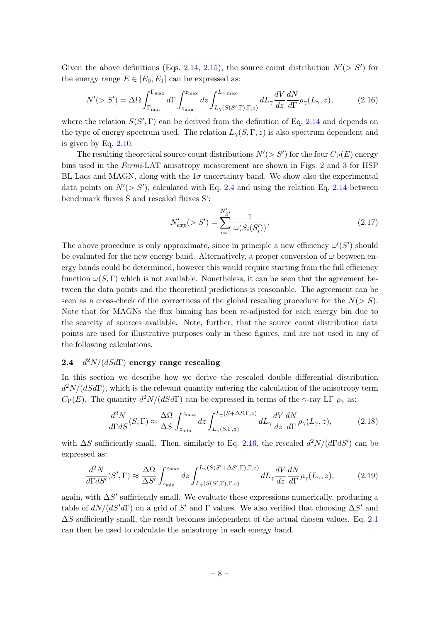Given the above definitions (Eqs. [2.14,](#page-7-2) [2.15\)](#page-7-2), the source count distribution  $N'(> S')$  for the energy range  $E \in [E_0, E_1]$  can be expressed as:

<span id="page-8-1"></span>
$$
N'(>S') = \Delta\Omega \int_{\Gamma_{\min}}^{\Gamma_{\max}} d\Gamma \int_{z_{\min}}^{z_{\max}} dz \int_{L_{\gamma}(S(S',\Gamma),\Gamma,z)}^{L_{\gamma,\max}} dL_{\gamma} \frac{dV}{dz} \frac{dN}{d\Gamma} \rho_{\gamma}(L_{\gamma},z), \tag{2.16}
$$

where the relation  $S(S', \Gamma)$  can be derived from the definition of Eq. [2.14](#page-7-2) and depends on the type of energy spectrum used. The relation  $L_{\gamma}(S, \Gamma, z)$  is also spectrum dependent and is given by Eq. [2.10.](#page-7-1)

The resulting theoretical source count distributions  $N'(> S')$  for the four  $C_{\rm P}(E)$  energy bins used in the Fermi-LAT anisotropy measurement are shown in Figs. [2](#page-9-0) and [3](#page-9-1) for HSP BL Lacs and MAGN, along with the  $1\sigma$  uncertainty band. We show also the experimental data points on  $N'(> S')$ , calculated with Eq. [2.4](#page-5-0) and using the relation Eq. [2.14](#page-7-2) between benchmark fluxes S and rescaled fluxes S':

$$
N'_{exp}(>S') = \sum_{i=1}^{N'_{S'}} \frac{1}{\omega(S_i(S'_i))}.
$$
\n(2.17)

The above procedure is only approximate, since in principle a new efficiency  $\omega'(S')$  should be evaluated for the new energy band. Alternatively, a proper conversion of  $\omega$  between energy bands could be determined, however this would require starting from the full efficiency function  $\omega(S, \Gamma)$  which is not available. Nonetheless, it can be seen that the agreement between the data points and the theoretical predictions is reasonable. The agreement can be seen as a cross-check of the correctness of the global rescaling procedure for the  $N(> S)$ . Note that for MAGNs the flux binning has been re-adjusted for each energy bin due to the scarcity of sources available. Note, further, that the source count distribution data points are used for illustrative purposes only in these figures, and are not used in any of the following calculations.

#### <span id="page-8-0"></span>2.4 d  $d^2N/(dSd\Gamma)$  energy range rescaling

In this section we describe how we derive the rescaled double differential distribution  $d^2N/(dSd\Gamma)$ , which is the relevant quantity entering the calculation of the anisotropy term  $C_{\rm P}(E)$ . The quantity  $d^2N/(dSd\Gamma)$  can be expressed in terms of the  $\gamma$ -ray LF  $\rho_{\gamma}$  as:

$$
\frac{d^2N}{d\Gamma dS}(S,\Gamma) \approx \frac{\Delta\Omega}{\Delta S} \int_{z_{\rm min}}^{z_{\rm max}} dz \int_{L_{\gamma}(S,\Gamma,z)}^{L_{\gamma}(S+\Delta S,\Gamma,z)} dL_{\gamma} \frac{dV}{dz} \frac{dN}{d\Gamma} \rho_{\gamma}(L_{\gamma},z),\tag{2.18}
$$

with  $\Delta S$  sufficiently small. Then, similarly to Eq. [2.16,](#page-8-1) the rescaled  $d^2N/(d\Gamma dS')$  can be expressed as:

$$
\frac{d^2N}{d\Gamma dS'}(S',\Gamma) \approx \frac{\Delta\Omega}{\Delta S'} \int_{z_{\rm min}}^{z_{\rm max}} dz \int_{L_{\gamma}(S(S',\Gamma),\Gamma,z)}^{L_{\gamma}(S(S'+\Delta S',\Gamma),\Gamma,z)} dL_{\gamma} \frac{dV}{dz} \frac{dN}{d\Gamma} \rho_{\gamma}(L_{\gamma},z),\tag{2.19}
$$

again, with  $\Delta S'$  sufficiently small. We evaluate these expressions numerically, producing a table of  $dN/(dS'd\Gamma)$  on a grid of S' and  $\Gamma$  values. We also verified that choosing  $\Delta S'$  and  $\Delta S$  sufficiently small, the result becomes independent of the actual chosen values. Eq. [2.1](#page-4-3) can then be used to calculate the anisotropy in each energy band.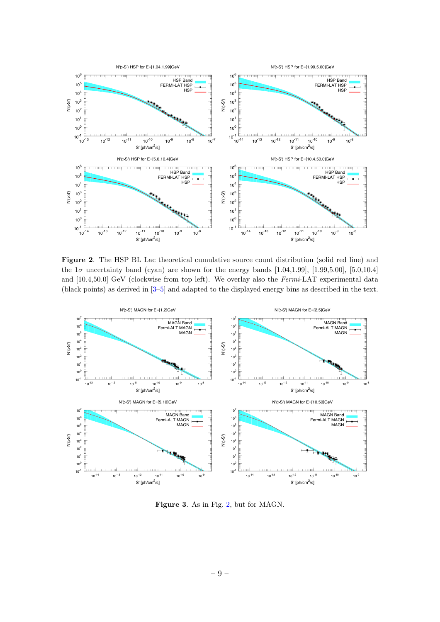

<span id="page-9-0"></span>Figure 2. The HSP BL Lac theoretical cumulative source count distribution (solid red line) and the  $1\sigma$  uncertainty band (cyan) are shown for the energy bands [1.04,1.99], [1.99,5.00], [5.0,10.4] and [10.4,50.0] GeV (clockwise from top left). We overlay also the Fermi-LAT experimental data (black points) as derived in  $[3-5]$  and adapted to the displayed energy bins as described in the text.



<span id="page-9-1"></span>Figure 3. As in Fig. 2, but for MAGN.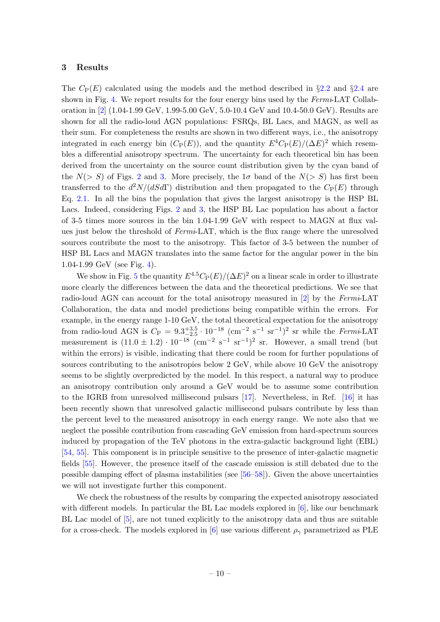### <span id="page-10-0"></span>3 Results

The  $C_P(E)$  calculated using the models and the method described in §[2.2](#page-4-2) and §[2.4](#page-8-0) are shown in Fig. [4.](#page-11-0) We report results for the four energy bins used by the Fermi-LAT Collaboration in [\[2\]](#page-23-1) (1.04-1.99 GeV, 1.99-5.00 GeV, 5.0-10.4 GeV and 10.4-50.0 GeV). Results are shown for all the radio-loud AGN populations: FSRQs, BL Lacs, and MAGN, as well as their sum. For completeness the results are shown in two different ways, i.e., the anisotropy integrated in each energy bin  $(C_P(E))$ , and the quantity  $E^4 C_P(E)/(\Delta E)^2$  which resembles a differential anisotropy spectrum. The uncertainty for each theoretical bin has been derived from the uncertainty on the source count distribution given by the cyan band of the  $N(> S)$  of Figs. [2](#page-9-0) and [3.](#page-9-1) More precisely, the  $1\sigma$  band of the  $N(> S)$  has first been transferred to the  $d^2N/(dSd\Gamma)$  distribution and then propagated to the  $C_P(E)$  through Eq. [2.1.](#page-4-3) In all the bins the population that gives the largest anisotropy is the HSP BL Lacs. Indeed, considering Figs. [2](#page-9-0) and [3,](#page-9-1) the HSP BL Lac population has about a factor of 3-5 times more sources in the bin 1.04-1.99 GeV with respect to MAGN at flux values just below the threshold of Fermi-LAT, which is the flux range where the unresolved sources contribute the most to the anisotropy. This factor of 3-5 between the number of HSP BL Lacs and MAGN translates into the same factor for the angular power in the bin 1.04-1.99 GeV (see Fig. [4\)](#page-11-0).

We show in Fig. [5](#page-12-0) the quantity  $E^{4.5}C_{\text{P}}(E)/(\Delta E)^2$  on a linear scale in order to illustrate more clearly the differences between the data and the theoretical predictions. We see that radio-loud AGN can account for the total anisotropy measured in [\[2\]](#page-23-1) by the Fermi-LAT Collaboration, the data and model predictions being compatible within the errors. For example, in the energy range 1-10 GeV, the total theoretical expectation for the anisotropy from radio-loud AGN is  $C_{\rm P} = 9.3^{+3.5}_{-2.5} \cdot 10^{-18}$   $(\rm cm^{-2} \text{ s}^{-1} \text{ sr}^{-1})^2$  sr while the *Fermi*-LAT measurement is  $(11.0 \pm 1.2) \cdot 10^{-18}$   $(\text{cm}^{-2} \text{ s}^{-1} \text{ sr}^{-1})^2$  sr. However, a small trend (but within the errors) is visible, indicating that there could be room for further populations of sources contributing to the anisotropies below 2 GeV, while above 10 GeV the anisotropy seems to be slightly overpredicted by the model. In this respect, a natural way to produce an anisotropy contribution only around a GeV would be to assume some contribution to the IGRB from unresolved millisecond pulsars [\[17\]](#page-24-13). Nevertheless, in Ref. [\[16\]](#page-23-6) it has been recently shown that unresolved galactic millisecond pulsars contribute by less than the percent level to the measured anisotropy in each energy range. We note also that we neglect the possible contribution from cascading GeV emission from hard-spectrum sources induced by propagation of the TeV photons in the extra-galactic background light (EBL) [\[54,](#page-26-3) [55\]](#page-26-4). This component is in principle sensitive to the presence of inter-galactic magnetic fields [\[55\]](#page-26-4). However, the presence itself of the cascade emission is still debated due to the possible damping effect of plasma instabilities (see [\[56–](#page-26-5)[58\]](#page-26-6)). Given the above uncertainties we will not investigate further this component.

We check the robustness of the results by comparing the expected anisotropy associated with different models. In particular the BL Lac models explored in  $[6]$ , like our benchmark BL Lac model of [\[5\]](#page-23-9), are not tuned explicitly to the anisotropy data and thus are suitable for a cross-check. The models explored in [\[6\]](#page-23-7) use various different  $\rho_{\gamma}$  parametrized as PLE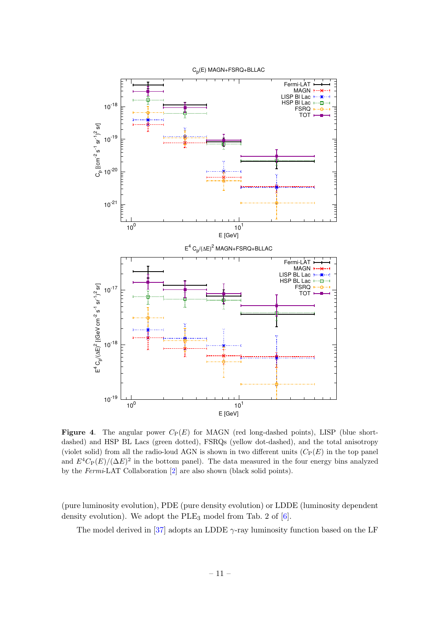

<span id="page-11-0"></span>Figure 4. The angular power  $C_P(E)$  for MAGN (red long-dashed points), LISP (blue shortdashed) and HSP BL Lacs (green dotted), FSRQs (yellow dot-dashed), and the total anisotropy (violet solid) from all the radio-loud AGN is shown in two different units  $(C<sub>P</sub>(E))$  in the top panel and  $E^4C_P(E)/(\Delta E)^2$  in the bottom panel). The data measured in the four energy bins analyzed by the Fermi-LAT Collaboration [\[2\]](#page-23-1) are also shown (black solid points).

(pure luminosity evolution), PDE (pure density evolution) or LDDE (luminosity dependent density evolution). We adopt the  $PLE<sub>3</sub>$  model from Tab. 2 of [\[6\]](#page-23-7).

The model derived in [\[37\]](#page-25-2) adopts an LDDE  $\gamma$ -ray luminosity function based on the LF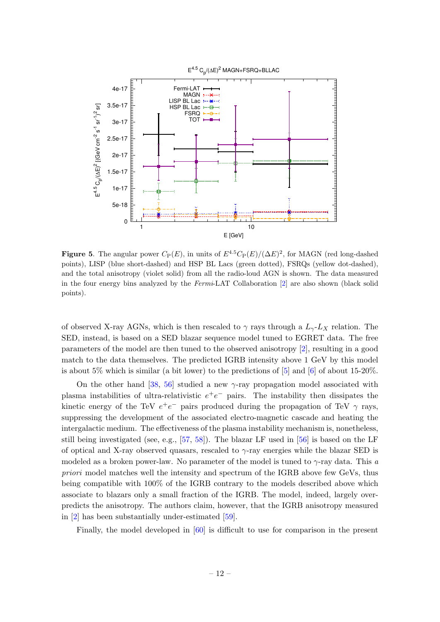

<span id="page-12-0"></span>Figure 5. The angular power  $C_P(E)$ , in units of  $E^{4.5}C_P(E)/(\Delta E)^2$ , for MAGN (red long-dashed points), LISP (blue short-dashed) and HSP BL Lacs (green dotted), FSRQs (yellow dot-dashed), and the total anisotropy (violet solid) from all the radio-loud AGN is shown. The data measured in the four energy bins analyzed by the Fermi-LAT Collaboration [\[2\]](#page-23-1) are also shown (black solid points).

of observed X-ray AGNs, which is then rescaled to  $\gamma$  rays through a  $L_{\gamma}$ - $L_X$  relation. The SED, instead, is based on a SED blazar sequence model tuned to EGRET data. The free parameters of the model are then tuned to the observed anisotropy [\[2\]](#page-23-1), resulting in a good match to the data themselves. The predicted IGRB intensity above 1 GeV by this model is about 5% which is similar (a bit lower) to the predictions of [\[5\]](#page-23-9) and [\[6\]](#page-23-7) of about 15-20%.

On the other hand [\[38,](#page-25-3) [56\]](#page-26-5) studied a new  $\gamma$ -ray propagation model associated with plasma instabilities of ultra-relativistic  $e^+e^-$  pairs. The instability then dissipates the kinetic energy of the TeV  $e^+e^-$  pairs produced during the propagation of TeV  $\gamma$  rays, suppressing the development of the associated electro-magnetic cascade and heating the intergalactic medium. The effectiveness of the plasma instability mechanism is, nonetheless, still being investigated (see, e.g., [\[57,](#page-26-7) [58\]](#page-26-6)). The blazar LF used in [\[56\]](#page-26-5) is based on the LF of optical and X-ray observed quasars, rescaled to  $\gamma$ -ray energies while the blazar SED is modeled as a broken power-law. No parameter of the model is tuned to  $\gamma$ -ray data. This a priori model matches well the intensity and spectrum of the IGRB above few GeVs, thus being compatible with 100% of the IGRB contrary to the models described above which associate to blazars only a small fraction of the IGRB. The model, indeed, largely overpredicts the anisotropy. The authors claim, however, that the IGRB anisotropy measured in [\[2\]](#page-23-1) has been substantially under-estimated [\[59\]](#page-26-8).

Finally, the model developed in [\[60\]](#page-26-9) is difficult to use for comparison in the present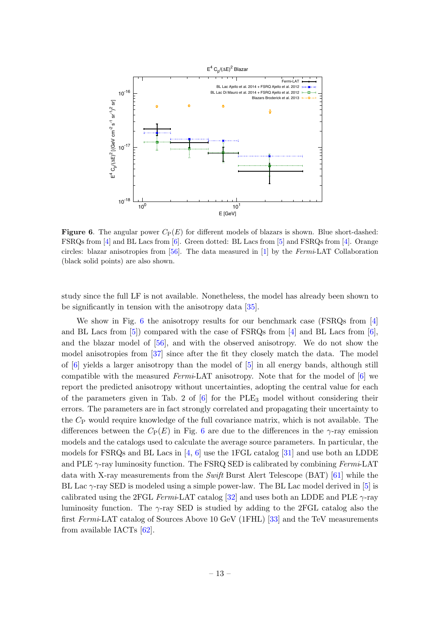

<span id="page-13-0"></span>**Figure 6.** The angular power  $C_P(E)$  for different models of blazars is shown. Blue short-dashed: FSRQs from [\[4\]](#page-23-8) and BL Lacs from [\[6\]](#page-23-7). Green dotted: BL Lacs from [\[5\]](#page-23-9) and FSRQs from [\[4\]](#page-23-8). Orange circles: blazar anisotropies from [\[56\]](#page-26-5). The data measured in [\[1\]](#page-23-0) by the Fermi-LAT Collaboration (black solid points) are also shown.

study since the full LF is not available. Nonetheless, the model has already been shown to be significantly in tension with the anisotropy data [\[35\]](#page-25-0).

We show in Fig. [6](#page-13-0) the anisotropy results for our benchmark case (FSRQs from [\[4\]](#page-23-8) and BL Lacs from  $\lbrack 5\rbrack$  compared with the case of FSRQs from  $\lbrack 4\rbrack$  and BL Lacs from  $\lbrack 6\rbrack$ , and the blazar model of [\[56\]](#page-26-5), and with the observed anisotropy. We do not show the model anisotropies from [\[37\]](#page-25-2) since after the fit they closely match the data. The model of [\[6\]](#page-23-7) yields a larger anisotropy than the model of [\[5\]](#page-23-9) in all energy bands, although still compatible with the measured Fermi-LAT anisotropy. Note that for the model of  $[6]$  we report the predicted anisotropy without uncertainties, adopting the central value for each of the parameters given in Tab. 2 of  $[6]$  for the PLE<sub>3</sub> model without considering their errors. The parameters are in fact strongly correlated and propagating their uncertainty to the  $C_{\rm P}$  would require knowledge of the full covariance matrix, which is not available. The differences between the  $C_P(E)$  in Fig. [6](#page-13-0) are due to the differences in the  $\gamma$ -ray emission models and the catalogs used to calculate the average source parameters. In particular, the models for FSRQs and BL Lacs in [\[4,](#page-23-8) [6\]](#page-23-7) use the 1FGL catalog [\[31\]](#page-24-10) and use both an LDDE and PLE  $\gamma$ -ray luminosity function. The FSRQ SED is calibrated by combining Fermi-LAT data with X-ray measurements from the Swift Burst Alert Telescope (BAT) [\[61\]](#page-26-10) while the BL Lac  $\gamma$ -ray SED is modeled using a simple power-law. The BL Lac model derived in [\[5\]](#page-23-9) is calibrated using the 2FGL Fermi-LAT catalog [\[32\]](#page-24-14) and uses both an LDDE and PLE  $\gamma$ -ray luminosity function. The  $\gamma$ -ray SED is studied by adding to the 2FGL catalog also the first Fermi-LAT catalog of Sources Above 10 GeV (1FHL) [\[33\]](#page-24-11) and the TeV measurements from available IACTs [\[62\]](#page-26-11).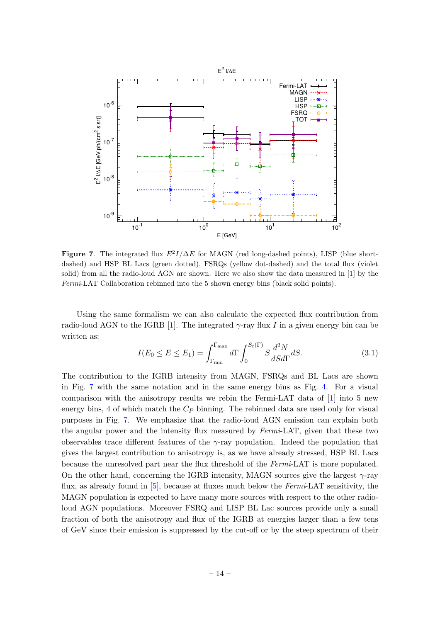

<span id="page-14-0"></span>Figure 7. The integrated flux  $E^2I/\Delta E$  for MAGN (red long-dashed points), LISP (blue shortdashed) and HSP BL Lacs (green dotted), FSRQs (yellow dot-dashed) and the total flux (violet solid) from all the radio-loud AGN are shown. Here we also show the data measured in [\[1\]](#page-23-0) by the Fermi-LAT Collaboration rebinned into the 5 shown energy bins (black solid points).

Using the same formalism we can also calculate the expected flux contribution from radio-loud AGN to the IGRB [\[1\]](#page-23-0). The integrated  $\gamma$ -ray flux I in a given energy bin can be written as:

<span id="page-14-1"></span>
$$
I(E_0 \le E \le E_1) = \int_{\Gamma_{\text{min}}}^{\Gamma_{\text{max}}} d\Gamma \int_0^{S_t(\Gamma)} S \frac{d^2 N}{dS d\Gamma} dS. \tag{3.1}
$$

The contribution to the IGRB intensity from MAGN, FSRQs and BL Lacs are shown in Fig. [7](#page-14-0) with the same notation and in the same energy bins as Fig. [4.](#page-11-0) For a visual comparison with the anisotropy results we rebin the Fermi-LAT data of [\[1\]](#page-23-0) into 5 new energy bins, 4 of which match the  $C_P$  binning. The rebinned data are used only for visual purposes in Fig. [7.](#page-14-0) We emphasize that the radio-loud AGN emission can explain both the angular power and the intensity flux measured by Fermi-LAT, given that these two observables trace different features of the  $\gamma$ -ray population. Indeed the population that gives the largest contribution to anisotropy is, as we have already stressed, HSP BL Lacs because the unresolved part near the flux threshold of the Fermi-LAT is more populated. On the other hand, concerning the IGRB intensity, MAGN sources give the largest  $\gamma$ -ray flux, as already found in [\[5\]](#page-23-9), because at fluxes much below the Fermi-LAT sensitivity, the MAGN population is expected to have many more sources with respect to the other radioloud AGN populations. Moreover FSRQ and LISP BL Lac sources provide only a small fraction of both the anisotropy and flux of the IGRB at energies larger than a few tens of GeV since their emission is suppressed by the cut-off or by the steep spectrum of their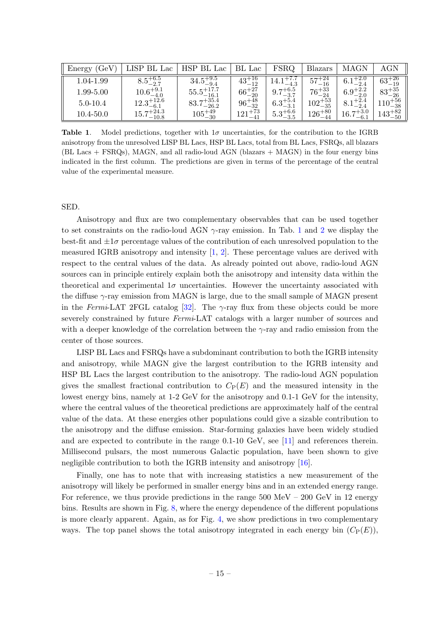| (GeV)<br>Energy | LISP BL Lac            | HSP BL Lac             | BL Lac            | <b>FSRQ</b>          | <b>Blazars</b>    | <b>MAGN</b>          | $\rm{AGN}$            |
|-----------------|------------------------|------------------------|-------------------|----------------------|-------------------|----------------------|-----------------------|
| 1.04-1.99       | $8.5^{+6.5}_{-2.7}$    | $34.5^{+9.5}_{-9.4}$   | $43^{+16}_{-12}$  | $14.1^{+7.7}_{-4.3}$ | $57^{+24}_{-16}$  | $6.1_{-2.4}^{+2.0}$  | $63^{+26}_{-19}$      |
| 1.99-5.00       | $10.6^{+9.1}_{-4.0}$   | $55.5^{+17.7}_{-16.1}$ | $66^{+27}_{-20}$  | $9.7^{+6.5}_{-3.7}$  | $76^{+33}_{-24}$  | $6.9^{+2.2}_{-2.0}$  | $83^{+35}_{-26}$      |
| $5.0 - 10.4$    | $12.3^{+12.6}_{-6.1}$  | $83.7^{+35.4}_{-26.2}$ | $96^{+48}_{-32}$  | $6.3^{+5.4}_{-3.1}$  | $102^{+53}_{-35}$ | $8.1^{+2.4}_{-2.4}$  | $\rm 110^{+56}_{-38}$ |
| $10.4 - 50.0$   | $15.7^{+24.3}_{-10.8}$ | $105^{+49}_{-30}$      | $121^{+73}_{-41}$ | $5.3^{+6.6}_{-3.5}$  | $126^{+80}_{-44}$ | $16.7^{+3.0}_{-6.1}$ | $143^{+82}_{-50}$     |

<span id="page-15-0"></span>Table 1. Model predictions, together with  $1\sigma$  uncertainties, for the contribution to the IGRB anisotropy from the unresolved LISP BL Lacs, HSP BL Lacs, total from BL Lacs, FSRQs, all blazars (BL Lacs + FSRQs), MAGN, and all radio-loud AGN (blazars + MAGN) in the four energy bins indicated in the first column. The predictions are given in terms of the percentage of the central value of the experimental measure.

SED.

Anisotropy and flux are two complementary observables that can be used together to set constraints on the radio-loud AGN  $\gamma$ -ray emission. In Tab. [1](#page-15-0) and [2](#page-16-1) we display the best-fit and  $\pm 1\sigma$  percentage values of the contribution of each unresolved population to the measured IGRB anisotropy and intensity  $[1, 2]$  $[1, 2]$ . These percentage values are derived with respect to the central values of the data. As already pointed out above, radio-loud AGN sources can in principle entirely explain both the anisotropy and intensity data within the theoretical and experimental  $1\sigma$  uncertainties. However the uncertainty associated with the diffuse  $\gamma$ -ray emission from MAGN is large, due to the small sample of MAGN present in the Fermi-LAT 2FGL catalog [\[32\]](#page-24-14). The  $\gamma$ -ray flux from these objects could be more severely constrained by future Fermi-LAT catalogs with a larger number of sources and with a deeper knowledge of the correlation between the  $\gamma$ -ray and radio emission from the center of those sources.

LISP BL Lacs and FSRQs have a subdominant contribution to both the IGRB intensity and anisotropy, while MAGN give the largest contribution to the IGRB intensity and HSP BL Lacs the largest contribution to the anisotropy. The radio-loud AGN population gives the smallest fractional contribution to  $C_P(E)$  and the measured intensity in the lowest energy bins, namely at 1-2 GeV for the anisotropy and 0.1-1 GeV for the intensity, where the central values of the theoretical predictions are approximately half of the central value of the data. At these energies other populations could give a sizable contribution to the anisotropy and the diffuse emission. Star-forming galaxies have been widely studied and are expected to contribute in the range 0.1-10 GeV, see [\[11\]](#page-23-4) and references therein. Millisecond pulsars, the most numerous Galactic population, have been shown to give negligible contribution to both the IGRB intensity and anisotropy [\[16\]](#page-23-6).

Finally, one has to note that with increasing statistics a new measurement of the anisotropy will likely be performed in smaller energy bins and in an extended energy range. For reference, we thus provide predictions in the range  $500 \text{ MeV} - 200 \text{ GeV}$  in 12 energy bins. Results are shown in Fig. [8,](#page-17-0) where the energy dependence of the different populations is more clearly apparent. Again, as for Fig. [4,](#page-11-0) we show predictions in two complementary ways. The top panel shows the total anisotropy integrated in each energy bin  $(C_{\mathcal{P}}(E))$ ,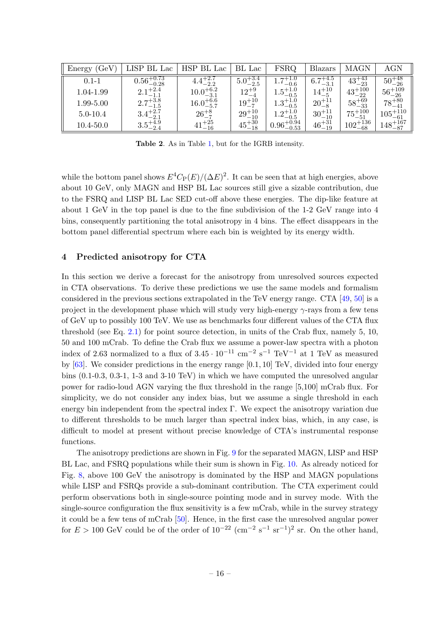| $^{\prime} \rm{GeV}$ ,<br>Energy | LISP BL Lac            | HSP BL Lac           | BL Lac              | <b>FSRQ</b>            | Blazars             | MAGN               | <b>AGN</b>         |
|----------------------------------|------------------------|----------------------|---------------------|------------------------|---------------------|--------------------|--------------------|
| $0.1 - 1$                        | $0.56_{-0.28}^{+0.73}$ | $4.4^{+2.7}_{-2.2}$  | $5.0^{+3.4}_{-2.5}$ | $1.7^{+1.0}_{-0.6}$    | $6.7^{+4.5}_{-3.1}$ | $43^{+43}_{-23}$   | $50^{+48}_{-26}$   |
| 1.04-1.99                        | $2.1^{+2.4}_{-1.1}$    | $10.0^{+6.2}_{-3.1}$ | $12^{+9}_{-4}$      | $1.5^{+1.0}_{-0.5}$    | $14^{+10}_{-5}$     | $43^{+100}_{-22}$  | $56^{+109}_{-26}$  |
| 1.99-5.00                        | $2.7^{+3.8}_{-1.5}$    | $16.0^{+6.6}_{-5.7}$ | $19^{+10}_{-7}$     | $1.3^{+1.0}_{-0.5}$    | $20^{+11}_{-8}$     | $58^{+69}_{-33}$   | $78^{+80}_{-41}$   |
| $5.0 - 10.4$                     | $3.4^{+2.7}_{-2.1}$    | $26^{+8}_{-7}$       | $29^{+10}_{-10}$    | $1.2^{+1.0}_{-0.5}$    | $30^{+11}_{-10}$    | $75^{+100}_{-51}$  | $105^{+110}_{-61}$ |
| $10.4 - 50.0$                    | $3.5^{+4.9}_{-2.4}$    | $41^{+25}_{-16}$     | $45^{+30}_{-18}$    | $0.96_{-0.53}^{+0.94}$ | $46^{+31}_{-19}$    | $102^{+136}_{-68}$ | $148^{+167}_{-87}$ |

<span id="page-16-1"></span>Table 2. As in Table [1,](#page-15-0) but for the IGRB intensity.

while the bottom panel shows  $E^4C_P(E)/(\Delta E)^2$ . It can be seen that at high energies, above about 10 GeV, only MAGN and HSP BL Lac sources still give a sizable contribution, due to the FSRQ and LISP BL Lac SED cut-off above these energies. The dip-like feature at about 1 GeV in the top panel is due to the fine subdivision of the 1-2 GeV range into 4 bins, consequently partitioning the total anisotropy in 4 bins. The effect disappears in the bottom panel differential spectrum where each bin is weighted by its energy width.

### <span id="page-16-0"></span>4 Predicted anisotropy for CTA

In this section we derive a forecast for the anisotropy from unresolved sources expected in CTA observations. To derive these predictions we use the same models and formalism considered in the previous sections extrapolated in the TeV energy range. CTA [\[49,](#page-25-7) [50\]](#page-25-8) is a project in the development phase which will study very high-energy  $\gamma$ -rays from a few tens of GeV up to possibly 100 TeV. We use as benchmarks four different values of the CTA flux threshold (see Eq. [2.1\)](#page-4-3) for point source detection, in units of the Crab flux, namely 5, 10, 50 and 100 mCrab. To define the Crab flux we assume a power-law spectra with a photon index of 2.63 normalized to a flux of  $3.45 \cdot 10^{-11}$  cm<sup>-2</sup> s<sup>-1</sup> TeV<sup>-1</sup> at 1 TeV as measured by [\[63\]](#page-26-12). We consider predictions in the energy range [0.1, 10] TeV, divided into four energy bins (0.1-0.3, 0.3-1, 1-3 and 3-10 TeV) in which we have computed the unresolved angular power for radio-loud AGN varying the flux threshold in the range [5,100] mCrab flux. For simplicity, we do not consider any index bias, but we assume a single threshold in each energy bin independent from the spectral index Γ. We expect the anisotropy variation due to different thresholds to be much larger than spectral index bias, which, in any case, is difficult to model at present without precise knowledge of CTA's instrumental response functions.

The anisotropy predictions are shown in Fig. [9](#page-18-0) for the separated MAGN, LISP and HSP BL Lac, and FSRQ populations while their sum is shown in Fig. [10.](#page-19-0) As already noticed for Fig. [8,](#page-17-0) above 100 GeV the anisotropy is dominated by the HSP and MAGN populations while LISP and FSRQs provide a sub-dominant contribution. The CTA experiment could perform observations both in single-source pointing mode and in survey mode. With the single-source configuration the flux sensitivity is a few mCrab, while in the survey strategy it could be a few tens of mCrab [\[50\]](#page-25-8). Hence, in the first case the unresolved angular power for  $E > 100 \text{ GeV}$  could be of the order of  $10^{-22} \text{ (cm}^{-2} \text{ s}^{-1} \text{ sr}^{-1})^2 \text{ sr}$ . On the other hand,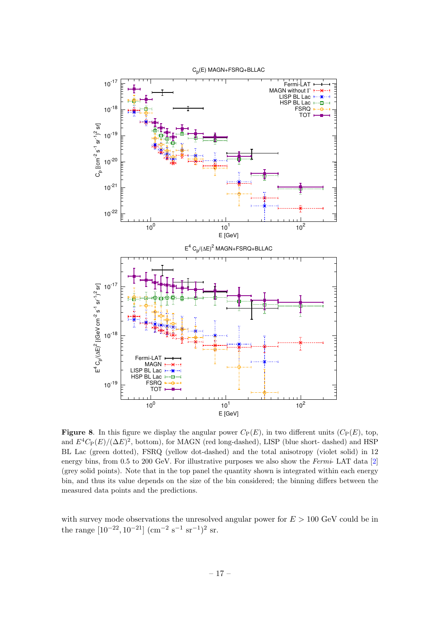

<span id="page-17-0"></span>**Figure 8.** In this figure we display the angular power  $C_P(E)$ , in two different units  $(C_P(E))$ , top, and  $E^4C_P(E)/(\Delta E)^2$ , bottom), for MAGN (red long-dashed), LISP (blue short- dashed) and HSP BL Lac (green dotted), FSRQ (yellow dot-dashed) and the total anisotropy (violet solid) in 12 energy bins, from 0.5 to 200 GeV. For illustrative purposes we also show the Fermi- LAT data [\[2\]](#page-23-1) (grey solid points). Note that in the top panel the quantity shown is integrated within each energy bin, and thus its value depends on the size of the bin considered; the binning differs between the measured data points and the predictions.

with survey mode observations the unresolved angular power for  $E > 100 \text{ GeV}$  could be in the range  $[10^{-22}, 10^{-21}]$   $(\text{cm}^{-2} \text{ s}^{-1} \text{ sr}^{-1})^2 \text{ sr}.$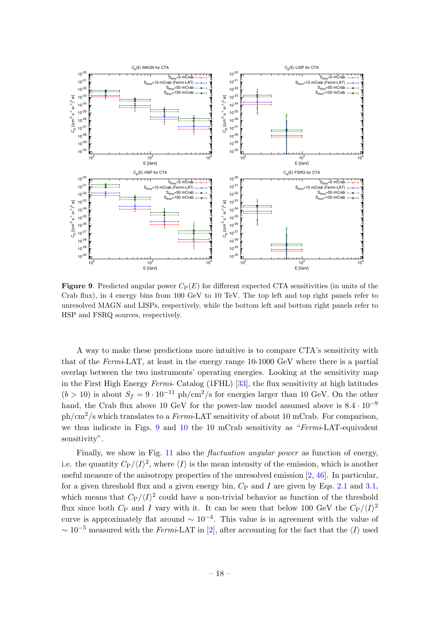

<span id="page-18-0"></span>**Figure 9.** Predicted angular power  $C_P(E)$  for different expected CTA sensitivities (in units of the Crab flux), in 4 energy bins from 100 GeV to 10 TeV. The top left and top right panels refer to unresolved MAGN and LISPs, respectively, while the bottom left and bottom right panels refer to HSP and FSRQ sources, respectively.

A way to make these predictions more intuitive is to compare CTA's sensitivity with that of the Fermi-LAT, at least in the energy range 10-1000 GeV where there is a partial overlap between the two instruments' operating energies. Looking at the sensitivity map in the First High Energy Fermi- Catalog (1FHL) [\[33\]](#page-24-11), the flux sensitivity at high latitudes  $(b > 10)$  is about  $S_f = 9 \cdot 10^{-11}$  ph/cm<sup>2</sup>/s for energies larger than 10 GeV. On the other hand, the Crab flux above 10 GeV for the power-law model assumed above is  $8.4 \cdot 10^{-9}$  $ph/cm<sup>2</sup>/s$  which translates to a Fermi-LAT sensitivity of about 10 mCrab. For comparison, we thus indicate in Figs. [9](#page-18-0) and [10](#page-19-0) the 10 mCrab sensitivity as "Fermi-LAT-equivalent" sensitivity".

Finally, we show in Fig. [11](#page-19-1) also the *fluctuation angular power* as function of energy, i.e. the quantity  $C_P/\langle I \rangle^2$ , where  $\langle I \rangle$  is the mean intensity of the emission, which is another useful measure of the anisotropy properties of the unresolved emission [\[2,](#page-23-1) [46\]](#page-25-9). In particular, for a given threshold flux and a given energy bin,  $C_{\rm P}$  and I are given by Eqs. [2.1](#page-4-3) and [3.1,](#page-14-1) which means that  $C_P/\langle I \rangle^2$  could have a non-trivial behavior as function of the threshold flux since both  $C_{\rm P}$  and I vary with it. It can be seen that below 100 GeV the  $C_{\rm P}/\langle I \rangle^2$ curve is approximately flat around  $\sim 10^{-4}$ . This value is in agreement with the value of  $\sim 10^{-5}$  measured with the Fermi-LAT in [\[2\]](#page-23-1), after accounting for the fact that the  $\langle I \rangle$  used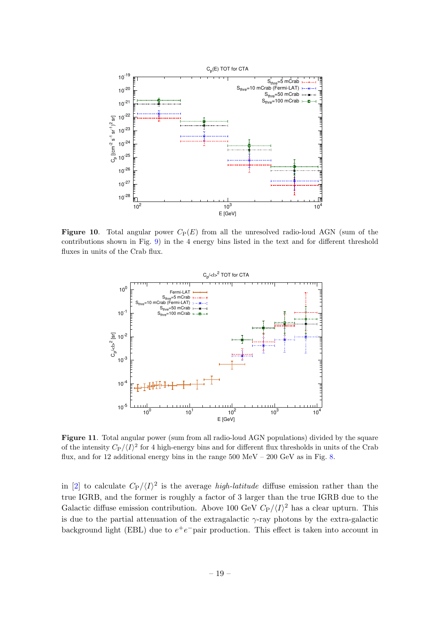

**Figure 10.** Total angular power  $C_P(E)$  from all the unresolved radio-loud AGN (sum of the contributions shown in Fig. [9\)](#page-18-0) in the 4 energy bins listed in the text and for different threshold fluxes in units of the Crab flux.

<span id="page-19-0"></span>

<span id="page-19-1"></span>Figure 11. Total angular power (sum from all radio-loud AGN populations) divided by the square of the intensity  $C_P/\langle I \rangle^2$  for 4 high-energy bins and for different flux thresholds in units of the Crab flux, and for 12 additional energy bins in the range  $500 \text{ MeV} - 200 \text{ GeV}$  as in Fig. [8.](#page-17-0)

in [\[2\]](#page-23-1) to calculate  $C_P/\langle I \rangle^2$  is the average *high-latitude* diffuse emission rather than the true IGRB, and the former is roughly a factor of 3 larger than the true IGRB due to the Galactic diffuse emission contribution. Above 100 GeV  $C_{\rm P}/\langle I \rangle^2$  has a clear upturn. This is due to the partial attenuation of the extragalactic  $\gamma$ -ray photons by the extra-galactic background light (EBL) due to  $e^+e^-$  pair production. This effect is taken into account in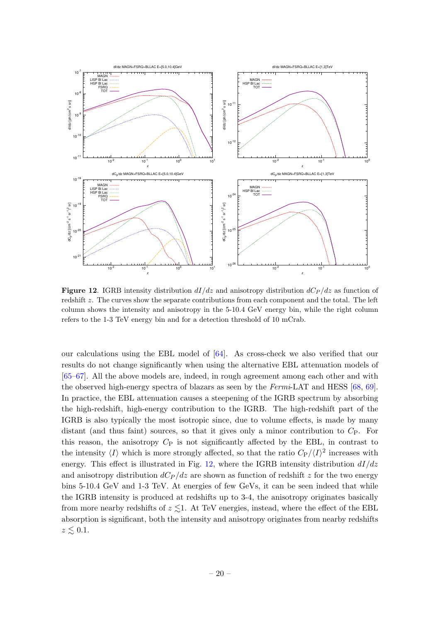

<span id="page-20-0"></span>**Figure 12.** IGRB intensity distribution  $dI/dz$  and anisotropy distribution  $dC_P/dz$  as function of redshift z. The curves show the separate contributions from each component and the total. The left column shows the intensity and anisotropy in the 5-10.4 GeV energy bin, while the right column refers to the 1-3 TeV energy bin and for a detection threshold of 10 mCrab.

our calculations using the EBL model of [\[64\]](#page-26-13). As cross-check we also verified that our results do not change significantly when using the alternative EBL attenuation models of [\[65–](#page-26-14)[67\]](#page-26-15). All the above models are, indeed, in rough agreement among each other and with the observed high-energy spectra of blazars as seen by the Fermi-LAT and HESS [\[68,](#page-26-16) [69\]](#page-27-0). In practice, the EBL attenuation causes a steepening of the IGRB spectrum by absorbing the high-redshift, high-energy contribution to the IGRB. The high-redshift part of the IGRB is also typically the most isotropic since, due to volume effects, is made by many distant (and thus faint) sources, so that it gives only a minor contribution to  $C_{P}$ . For this reason, the anisotropy  $C_P$  is not significantly affected by the EBL, in contrast to the intensity  $\langle I \rangle$  which is more strongly affected, so that the ratio  $C_P/\langle I \rangle^2$  increases with energy. This effect is illustrated in Fig. [12,](#page-20-0) where the IGRB intensity distribution  $dI/dz$ and anisotropy distribution  $dC_P/dz$  are shown as function of redshift z for the two energy bins 5-10.4 GeV and 1-3 TeV. At energies of few GeVs, it can be seen indeed that while the IGRB intensity is produced at redshifts up to 3-4, the anisotropy originates basically from more nearby redshifts of  $z \leq 1$ . At TeV energies, instead, where the effect of the EBL absorption is significant, both the intensity and anisotropy originates from nearby redshifts  $z \lesssim 0.1$ .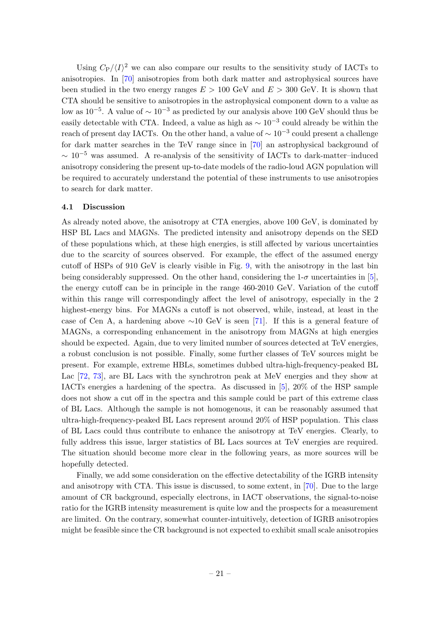Using  $C_P/\langle I \rangle^2$  we can also compare our results to the sensitivity study of IACTs to anisotropies. In [\[70\]](#page-27-1) anisotropies from both dark matter and astrophysical sources have been studied in the two energy ranges  $E > 100$  GeV and  $E > 300$  GeV. It is shown that CTA should be sensitive to anisotropies in the astrophysical component down to a value as low as  $10^{-5}$ . A value of  $\sim 10^{-3}$  as predicted by our analysis above 100 GeV should thus be easily detectable with CTA. Indeed, a value as high as  $\sim 10^{-3}$  could already be within the reach of present day IACTs. On the other hand, a value of  $\sim 10^{-3}$  could present a challenge for dark matter searches in the TeV range since in [\[70\]](#page-27-1) an astrophysical background of  $\sim 10^{-5}$  was assumed. A re-analysis of the sensitivity of IACTs to dark-matter–induced anisotropy considering the present up-to-date models of the radio-loud AGN population will be required to accurately understand the potential of these instruments to use anisotropies to search for dark matter.

### <span id="page-21-0"></span>4.1 Discussion

As already noted above, the anisotropy at CTA energies, above 100 GeV, is dominated by HSP BL Lacs and MAGNs. The predicted intensity and anisotropy depends on the SED of these populations which, at these high energies, is still affected by various uncertainties due to the scarcity of sources observed. For example, the effect of the assumed energy cutoff of HSPs of 910 GeV is clearly visible in Fig. [9,](#page-18-0) with the anisotropy in the last bin being considerably suppressed. On the other hand, considering the  $1-\sigma$  uncertainties in [\[5\]](#page-23-9), the energy cutoff can be in principle in the range 460-2010 GeV. Variation of the cutoff within this range will correspondingly affect the level of anisotropy, especially in the 2 highest-energy bins. For MAGNs a cutoff is not observed, while, instead, at least in the case of Cen A, a hardening above ∼10 GeV is seen [\[71\]](#page-27-2). If this is a general feature of MAGNs, a corresponding enhancement in the anisotropy from MAGNs at high energies should be expected. Again, due to very limited number of sources detected at TeV energies, a robust conclusion is not possible. Finally, some further classes of TeV sources might be present. For example, extreme HBLs, sometimes dubbed ultra-high-frequency-peaked BL Lac [\[72,](#page-27-3) [73\]](#page-27-4), are BL Lacs with the synchrotron peak at MeV energies and they show at IACTs energies a hardening of the spectra. As discussed in [\[5\]](#page-23-9), 20% of the HSP sample does not show a cut off in the spectra and this sample could be part of this extreme class of BL Lacs. Although the sample is not homogenous, it can be reasonably assumed that ultra-high-frequency-peaked BL Lacs represent around 20% of HSP population. This class of BL Lacs could thus contribute to enhance the anisotropy at TeV energies. Clearly, to fully address this issue, larger statistics of BL Lacs sources at TeV energies are required. The situation should become more clear in the following years, as more sources will be hopefully detected.

Finally, we add some consideration on the effective detectability of the IGRB intensity and anisotropy with CTA. This issue is discussed, to some extent, in [\[70\]](#page-27-1). Due to the large amount of CR background, especially electrons, in IACT observations, the signal-to-noise ratio for the IGRB intensity measurement is quite low and the prospects for a measurement are limited. On the contrary, somewhat counter-intuitively, detection of IGRB anisotropies might be feasible since the CR background is not expected to exhibit small scale anisotropies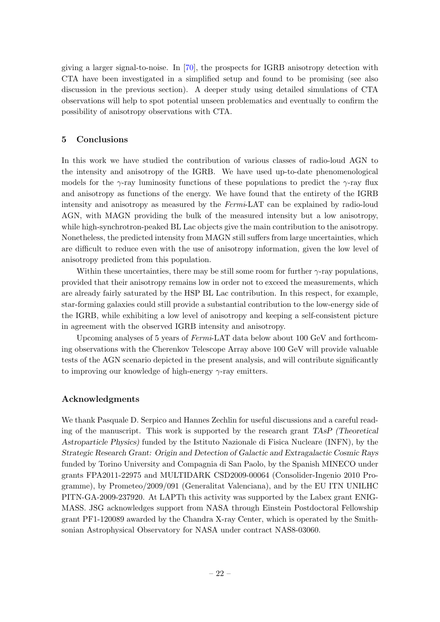giving a larger signal-to-noise. In [\[70\]](#page-27-1), the prospects for IGRB anisotropy detection with CTA have been investigated in a simplified setup and found to be promising (see also discussion in the previous section). A deeper study using detailed simulations of CTA observations will help to spot potential unseen problematics and eventually to confirm the possibility of anisotropy observations with CTA.

### <span id="page-22-0"></span>5 Conclusions

In this work we have studied the contribution of various classes of radio-loud AGN to the intensity and anisotropy of the IGRB. We have used up-to-date phenomenological models for the  $\gamma$ -ray luminosity functions of these populations to predict the  $\gamma$ -ray flux and anisotropy as functions of the energy. We have found that the entirety of the IGRB intensity and anisotropy as measured by the Fermi-LAT can be explained by radio-loud AGN, with MAGN providing the bulk of the measured intensity but a low anisotropy, while high-synchrotron-peaked BL Lac objects give the main contribution to the anisotropy. Nonetheless, the predicted intensity from MAGN still suffers from large uncertainties, which are difficult to reduce even with the use of anisotropy information, given the low level of anisotropy predicted from this population.

Within these uncertainties, there may be still some room for further  $\gamma$ -ray populations, provided that their anisotropy remains low in order not to exceed the measurements, which are already fairly saturated by the HSP BL Lac contribution. In this respect, for example, star-forming galaxies could still provide a substantial contribution to the low-energy side of the IGRB, while exhibiting a low level of anisotropy and keeping a self-consistent picture in agreement with the observed IGRB intensity and anisotropy.

Upcoming analyses of 5 years of Fermi-LAT data below about 100 GeV and forthcoming observations with the Cherenkov Telescope Array above 100 GeV will provide valuable tests of the AGN scenario depicted in the present analysis, and will contribute significantly to improving our knowledge of high-energy  $\gamma$ -ray emitters.

## Acknowledgments

We thank Pasquale D. Serpico and Hannes Zechlin for useful discussions and a careful reading of the manuscript. This work is supported by the research grant TAsP (Theoretical Astroparticle Physics) funded by the Istituto Nazionale di Fisica Nucleare (INFN), by the Strategic Research Grant: Origin and Detection of Galactic and Extragalactic Cosmic Rays funded by Torino University and Compagnia di San Paolo, by the Spanish MINECO under grants FPA2011-22975 and MULTIDARK CSD2009-00064 (Consolider-Ingenio 2010 Programme), by Prometeo/2009/091 (Generalitat Valenciana), and by the EU ITN UNILHC PITN-GA-2009-237920. At LAPTh this activity was supported by the Labex grant ENIG-MASS. JSG acknowledges support from NASA through Einstein Postdoctoral Fellowship grant PF1-120089 awarded by the Chandra X-ray Center, which is operated by the Smithsonian Astrophysical Observatory for NASA under contract NAS8-03060.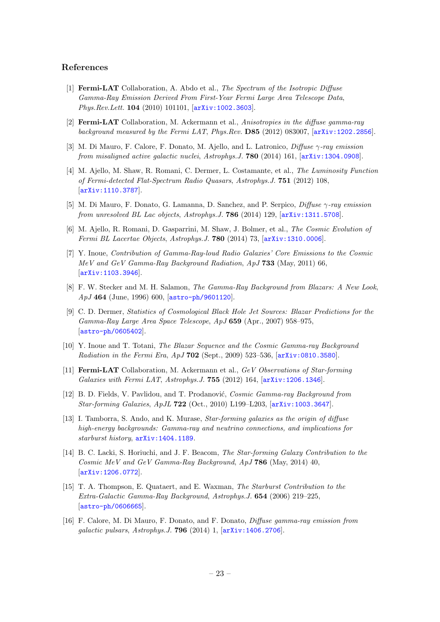### References

- <span id="page-23-0"></span>[1] Fermi-LAT Collaboration, A. Abdo et al., The Spectrum of the Isotropic Diffuse Gamma-Ray Emission Derived From First-Year Fermi Large Area Telescope Data, Phys.Rev.Lett. 104 (2010) 101101, [[arXiv:1002.3603](http://xxx.lanl.gov/abs/1002.3603)].
- <span id="page-23-1"></span>[2] Fermi-LAT Collaboration, M. Ackermann et al., Anisotropies in the diffuse gamma-ray background measured by the Fermi LAT, Phys.Rev. D85 (2012) 083007, [[arXiv:1202.2856](http://xxx.lanl.gov/abs/1202.2856)].
- <span id="page-23-2"></span>[3] M. Di Mauro, F. Calore, F. Donato, M. Ajello, and L. Latronico, *Diffuse*  $\gamma$ -ray emission from misaligned active galactic nuclei, Astrophys. J. 780 (2014) 161,  $arXiv:1304.0908$ .
- <span id="page-23-8"></span>[4] M. Ajello, M. Shaw, R. Romani, C. Dermer, L. Costamante, et al., The Luminosity Function of Fermi-detected Flat-Spectrum Radio Quasars, Astrophys.J. 751 (2012) 108, [[arXiv:1110.3787](http://xxx.lanl.gov/abs/1110.3787)].
- <span id="page-23-9"></span>[5] M. Di Mauro, F. Donato, G. Lamanna, D. Sanchez, and P. Serpico, Diffuse γ-ray emission from unresolved BL Lac objects, Astrophys. J. 786 (2014) 129, [[arXiv:1311.5708](http://xxx.lanl.gov/abs/1311.5708)].
- <span id="page-23-7"></span>[6] M. Ajello, R. Romani, D. Gasparrini, M. Shaw, J. Bolmer, et al., The Cosmic Evolution of Fermi BL Lacertae Objects, Astrophys.J. 780 (2014) 73, [[arXiv:1310.0006](http://xxx.lanl.gov/abs/1310.0006)].
- [7] Y. Inoue, Contribution of Gamma-Ray-loud Radio Galaxies' Core Emissions to the Cosmic MeV and GeV Gamma-Ray Background Radiation, ApJ 733 (May, 2011) 66, [[arXiv:1103.3946](http://xxx.lanl.gov/abs/1103.3946)].
- [8] F. W. Stecker and M. H. Salamon, The Gamma-Ray Background from Blazars: A New Look, ApJ 464 (June, 1996) 600, [[astro-ph/9601120](http://xxx.lanl.gov/abs/astro-ph/9601120)].
- [9] C. D. Dermer, Statistics of Cosmological Black Hole Jet Sources: Blazar Predictions for the Gamma-Ray Large Area Space Telescope, ApJ 659 (Apr., 2007) 958–975, [[astro-ph/0605402](http://xxx.lanl.gov/abs/astro-ph/0605402)].
- <span id="page-23-3"></span>[10] Y. Inoue and T. Totani, The Blazar Sequence and the Cosmic Gamma-ray Background Radiation in the Fermi Era, ApJ 702 (Sept., 2009) 523–536, [[arXiv:0810.3580](http://xxx.lanl.gov/abs/0810.3580)].
- <span id="page-23-4"></span>[11] Fermi-LAT Collaboration, M. Ackermann et al., GeV Observations of Star-forming Galaxies with Fermi LAT, Astrophys.J. 755 (2012) 164, [[arXiv:1206.1346](http://xxx.lanl.gov/abs/1206.1346)].
- [12] B. D. Fields, V. Pavlidou, and T. Prodanović, *Cosmic Gamma-ray Background from* Star-forming Galaxies, ApJL 722 (Oct., 2010) L199–L203, [[arXiv:1003.3647](http://xxx.lanl.gov/abs/1003.3647)].
- [13] I. Tamborra, S. Ando, and K. Murase, Star-forming galaxies as the origin of diffuse high-energy backgrounds: Gamma-ray and neutrino connections, and implications for starburst history, [arXiv:1404.1189](http://xxx.lanl.gov/abs/1404.1189).
- [14] B. C. Lacki, S. Horiuchi, and J. F. Beacom, The Star-forming Galaxy Contribution to the Cosmic MeV and GeV Gamma-Ray Background, ApJ 786 (May, 2014) 40, [[arXiv:1206.0772](http://xxx.lanl.gov/abs/1206.0772)].
- <span id="page-23-5"></span>[15] T. A. Thompson, E. Quataert, and E. Waxman, The Starburst Contribution to the Extra-Galactic Gamma-Ray Background, Astrophys.J. 654 (2006) 219–225, [[astro-ph/0606665](http://xxx.lanl.gov/abs/astro-ph/0606665)].
- <span id="page-23-6"></span>[16] F. Calore, M. Di Mauro, F. Donato, and F. Donato, Diffuse gamma-ray emission from galactic pulsars, Astrophys.J. 796 (2014) 1, [[arXiv:1406.2706](http://xxx.lanl.gov/abs/1406.2706)].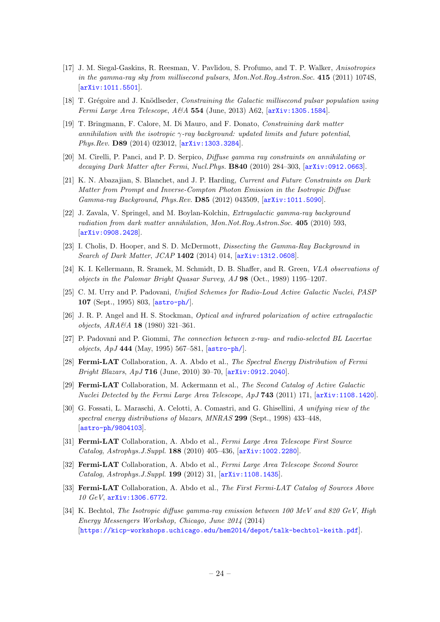- <span id="page-24-13"></span>[17] J. M. Siegal-Gaskins, R. Reesman, V. Pavlidou, S. Profumo, and T. P. Walker, Anisotropies in the gamma-ray sky from millisecond pulsars, Mon.Not.Roy.Astron.Soc. 415 (2011) 1074S, [[arXiv:1011.5501](http://xxx.lanl.gov/abs/1011.5501)].
- <span id="page-24-0"></span>[18] T. Grégoire and J. Knödlseder, Constraining the Galactic millisecond pulsar population using Fermi Large Area Telescope, A&A 554 (June, 2013) A62, [[arXiv:1305.1584](http://xxx.lanl.gov/abs/1305.1584)].
- <span id="page-24-1"></span>[19] T. Bringmann, F. Calore, M. Di Mauro, and F. Donato, Constraining dark matter annihilation with the isotropic  $\gamma$ -ray background: updated limits and future potential, Phys.Rev. D89 (2014) 023012, [[arXiv:1303.3284](http://xxx.lanl.gov/abs/1303.3284)].
- [20] M. Cirelli, P. Panci, and P. D. Serpico, Diffuse gamma ray constraints on annihilating or decaying Dark Matter after Fermi, Nucl.Phys. **B840** (2010) 284–303, [[arXiv:0912.0663](http://xxx.lanl.gov/abs/0912.0663)].
- [21] K. N. Abazajian, S. Blanchet, and J. P. Harding, Current and Future Constraints on Dark Matter from Prompt and Inverse-Compton Photon Emission in the Isotropic Diffuse Gamma-ray Background, Phys.Rev. D85 (2012) 043509, [[arXiv:1011.5090](http://xxx.lanl.gov/abs/1011.5090)].
- [22] J. Zavala, V. Springel, and M. Boylan-Kolchin, Extragalactic gamma-ray background radiation from dark matter annihilation, Mon.Not.Roy.Astron.Soc. 405 (2010) 593, [[arXiv:0908.2428](http://xxx.lanl.gov/abs/0908.2428)].
- <span id="page-24-2"></span>[23] I. Cholis, D. Hooper, and S. D. McDermott, Dissecting the Gamma-Ray Background in Search of Dark Matter, JCAP 1402 (2014) 014, [[arXiv:1312.0608](http://xxx.lanl.gov/abs/1312.0608)].
- <span id="page-24-3"></span>[24] K. I. Kellermann, R. Sramek, M. Schmidt, D. B. Shaffer, and R. Green, VLA observations of objects in the Palomar Bright Quasar Survey, AJ 98 (Oct., 1989) 1195–1207.
- <span id="page-24-4"></span>[25] C. M. Urry and P. Padovani, Unified Schemes for Radio-Loud Active Galactic Nuclei, PASP 107 (Sept., 1995) 803, [[astro-ph/](http://xxx.lanl.gov/abs/astro-ph/)].
- <span id="page-24-5"></span>[26] J. R. P. Angel and H. S. Stockman, Optical and infrared polarization of active extragalactic objects, ARA&A 18 (1980) 321-361.
- <span id="page-24-6"></span>[27] P. Padovani and P. Giommi, The connection between x-ray- and radio-selected BL Lacertae  $objects, ApJ 444 (May, 1995) 567–581, [astro-ph/].$  $objects, ApJ 444 (May, 1995) 567–581, [astro-ph/].$  $objects, ApJ 444 (May, 1995) 567–581, [astro-ph/].$
- <span id="page-24-7"></span>[28] Fermi-LAT Collaboration, A. A. Abdo et al., The Spectral Energy Distribution of Fermi Bright Blazars, ApJ 716 (June, 2010) 30–70, [[arXiv:0912.2040](http://xxx.lanl.gov/abs/0912.2040)].
- <span id="page-24-8"></span>[29] Fermi-LAT Collaboration, M. Ackermann et al., The Second Catalog of Active Galactic Nuclei Detected by the Fermi Large Area Telescope, ApJ 743 (2011) 171, [[arXiv:1108.1420](http://xxx.lanl.gov/abs/1108.1420)].
- <span id="page-24-9"></span>[30] G. Fossati, L. Maraschi, A. Celotti, A. Comastri, and G. Ghisellini, A unifying view of the spectral energy distributions of blazars, MNRAS 299 (Sept., 1998) 433-448. [[astro-ph/9804103](http://xxx.lanl.gov/abs/astro-ph/9804103)].
- <span id="page-24-10"></span>[31] Fermi-LAT Collaboration, A. Abdo et al., Fermi Large Area Telescope First Source Catalog, Astrophys.J.Suppl. 188 (2010) 405–436, [[arXiv:1002.2280](http://xxx.lanl.gov/abs/1002.2280)].
- <span id="page-24-14"></span>[32] Fermi-LAT Collaboration, A. Abdo et al., Fermi Large Area Telescope Second Source Catalog, Astrophys.J.Suppl. 199 (2012) 31, [[arXiv:1108.1435](http://xxx.lanl.gov/abs/1108.1435)].
- <span id="page-24-11"></span>[33] Fermi-LAT Collaboration, A. Abdo et al., The First Fermi-LAT Catalog of Sources Above 10 GeV, [arXiv:1306.6772](http://xxx.lanl.gov/abs/1306.6772).
- <span id="page-24-12"></span>[34] K. Bechtol, The Isotropic diffuse gamma-ray emission between 100 MeV and 820 GeV, High Energy Messengers Workshop, Chicago, June 2014 (2014) [[https://kicp-workshops.uchicago.edu/hem2014/depot/talk-bechtol-keith.pdf](http://xxx.lanl.gov/abs/https://kicp-workshops.uchicago.edu/hem2014/depot/talk-bechtol-keith.pdf)].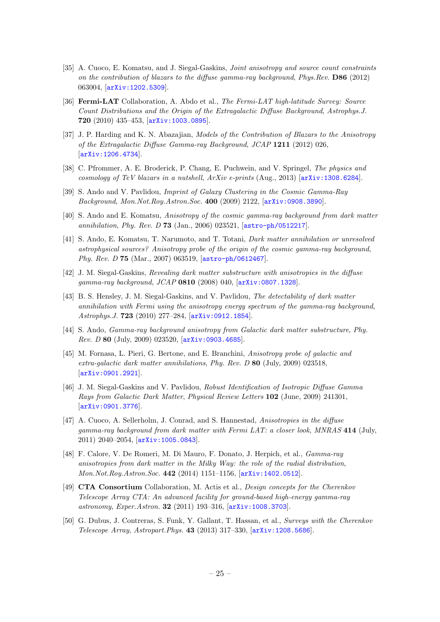- <span id="page-25-0"></span>[35] A. Cuoco, E. Komatsu, and J. Siegal-Gaskins, Joint anisotropy and source count constraints on the contribution of blazars to the diffuse gamma-ray background, Phys.Rev.  $DS6 (2012)$ 063004, [[arXiv:1202.5309](http://xxx.lanl.gov/abs/1202.5309)].
- <span id="page-25-1"></span>[36] Fermi-LAT Collaboration, A. Abdo et al., The Fermi-LAT high-latitude Survey: Source Count Distributions and the Origin of the Extragalactic Diffuse Background, Astrophys.J. 720 (2010) 435–453, [[arXiv:1003.0895](http://xxx.lanl.gov/abs/1003.0895)].
- <span id="page-25-2"></span>[37] J. P. Harding and K. N. Abazajian, *Models of the Contribution of Blazars to the Anisotropy* of the Extragalactic Diffuse Gamma-ray Background, JCAP 1211 (2012) 026, [[arXiv:1206.4734](http://xxx.lanl.gov/abs/1206.4734)].
- <span id="page-25-3"></span>[38] C. Pfrommer, A. E. Broderick, P. Chang, E. Puchwein, and V. Springel, The physics and cosmology of TeV blazars in a nutshell,  $ArXiv$  e-prints  $(Aug., 2013)$   $[arXiv:1308.6284]$  $[arXiv:1308.6284]$  $[arXiv:1308.6284]$ .
- <span id="page-25-4"></span>[39] S. Ando and V. Pavlidou, Imprint of Galaxy Clustering in the Cosmic Gamma-Ray Background, Mon.Not.Roy.Astron.Soc. 400 (2009) 2122, [[arXiv:0908.3890](http://xxx.lanl.gov/abs/0908.3890)].
- <span id="page-25-5"></span>[40] S. Ando and E. Komatsu, Anisotropy of the cosmic gamma-ray background from dark matter annihilation, Phy. Rev. D 73 (Jan., 2006) 023521, [[astro-ph/0512217](http://xxx.lanl.gov/abs/astro-ph/0512217)].
- [41] S. Ando, E. Komatsu, T. Narumoto, and T. Totani, Dark matter annihilation or unresolved astrophysical sources? Anisotropy probe of the origin of the cosmic gamma-ray background, Phy. Rev. D 75 (Mar., 2007) 063519, [[astro-ph/0612467](http://xxx.lanl.gov/abs/astro-ph/0612467)].
- [42] J. M. Siegal-Gaskins, Revealing dark matter substructure with anisotropies in the diffuse gamma-ray background, JCAP 0810 (2008) 040, [[arXiv:0807.1328](http://xxx.lanl.gov/abs/0807.1328)].
- [43] B. S. Hensley, J. M. Siegal-Gaskins, and V. Pavlidou, The detectability of dark matter annihilation with Fermi using the anisotropy energy spectrum of the gamma-ray background, Astrophys.J. 723 (2010) 277–284, [[arXiv:0912.1854](http://xxx.lanl.gov/abs/0912.1854)].
- [44] S. Ando, Gamma-ray background anisotropy from Galactic dark matter substructure, Phy. Rev. D 80 (July, 2009) 023520, [[arXiv:0903.4685](http://xxx.lanl.gov/abs/0903.4685)].
- [45] M. Fornasa, L. Pieri, G. Bertone, and E. Branchini, Anisotropy probe of galactic and extra-galactic dark matter annihilations, Phy. Rev. D 80 (July, 2009) 023518, [[arXiv:0901.2921](http://xxx.lanl.gov/abs/0901.2921)].
- <span id="page-25-9"></span>[46] J. M. Siegal-Gaskins and V. Pavlidou, Robust Identification of Isotropic Diffuse Gamma Rays from Galactic Dark Matter, Physical Review Letters 102 (June, 2009) 241301, [[arXiv:0901.3776](http://xxx.lanl.gov/abs/0901.3776)].
- [47] A. Cuoco, A. Sellerholm, J. Conrad, and S. Hannestad, Anisotropies in the diffuse gamma-ray background from dark matter with Fermi LAT: a closer look, MNRAS 414 (July, 2011) 2040–2054, [[arXiv:1005.0843](http://xxx.lanl.gov/abs/1005.0843)].
- <span id="page-25-6"></span>[48] F. Calore, V. De Romeri, M. Di Mauro, F. Donato, J. Herpich, et al., Gamma-ray anisotropies from dark matter in the Milky Way: the role of the radial distribution, Mon.Not.Roy.Astron.Soc. 442 (2014) 1151–1156, [[arXiv:1402.0512](http://xxx.lanl.gov/abs/1402.0512)].
- <span id="page-25-7"></span>[49] CTA Consortium Collaboration, M. Actis et al., Design concepts for the Cherenkov Telescope Array CTA: An advanced facility for ground-based high-energy gamma-ray astronomy, Exper.Astron. 32 (2011) 193–316, [[arXiv:1008.3703](http://xxx.lanl.gov/abs/1008.3703)].
- <span id="page-25-8"></span>[50] G. Dubus, J. Contreras, S. Funk, Y. Gallant, T. Hassan, et al., Surveys with the Cherenkov Telescope Array, Astropart.Phys. 43 (2013) 317–330, [[arXiv:1208.5686](http://xxx.lanl.gov/abs/1208.5686)].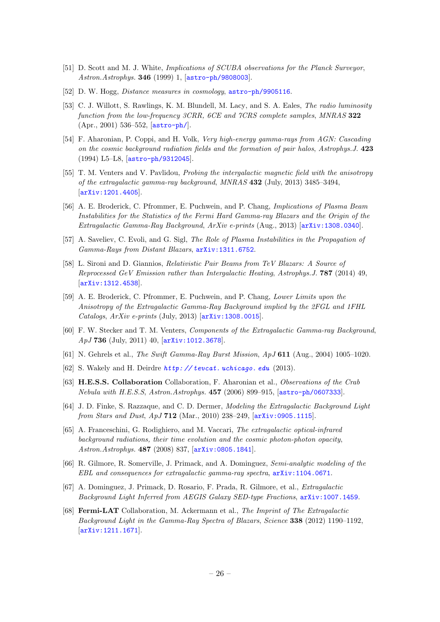- <span id="page-26-0"></span>[51] D. Scott and M. J. White, Implications of SCUBA observations for the Planck Surveyor, Astron.Astrophys. 346 (1999) 1, [[astro-ph/9808003](http://xxx.lanl.gov/abs/astro-ph/9808003)].
- <span id="page-26-1"></span>[52] D. W. Hogg, *Distance measures in cosmology*, [astro-ph/9905116](http://xxx.lanl.gov/abs/astro-ph/9905116).
- <span id="page-26-2"></span>[53] C. J. Willott, S. Rawlings, K. M. Blundell, M. Lacy, and S. A. Eales, The radio luminosity function from the low-frequency 3CRR, 6CE and 7CRS complete samples, MNRAS 322 (Apr., 2001) 536–552, [[astro-ph/](http://xxx.lanl.gov/abs/astro-ph/)].
- <span id="page-26-3"></span>[54] F. Aharonian, P. Coppi, and H. Volk, Very high-energy gamma-rays from AGN: Cascading on the cosmic background radiation fields and the formation of pair halos, Astrophys.J. 423 (1994) L5–L8, [[astro-ph/9312045](http://xxx.lanl.gov/abs/astro-ph/9312045)].
- <span id="page-26-4"></span>[55] T. M. Venters and V. Pavlidou, Probing the intergalactic magnetic field with the anisotropy of the extragalactic gamma-ray background, MNRAS 432 (July, 2013) 3485–3494, [[arXiv:1201.4405](http://xxx.lanl.gov/abs/1201.4405)].
- <span id="page-26-5"></span>[56] A. E. Broderick, C. Pfrommer, E. Puchwein, and P. Chang, Implications of Plasma Beam Instabilities for the Statistics of the Fermi Hard Gamma-ray Blazars and the Origin of the Extragalactic Gamma-Ray Background, ArXiv e-prints (Aug., 2013) [[arXiv:1308.0340](http://xxx.lanl.gov/abs/1308.0340)].
- <span id="page-26-7"></span>[57] A. Saveliev, C. Evoli, and G. Sigl, *The Role of Plasma Instabilities in the Propagation of* Gamma-Rays from Distant Blazars, [arXiv:1311.6752](http://xxx.lanl.gov/abs/1311.6752).
- <span id="page-26-6"></span>[58] L. Sironi and D. Giannios, Relativistic Pair Beams from TeV Blazars: A Source of Reprocessed GeV Emission rather than Intergalactic Heating, Astrophys.J. 787 (2014) 49, [[arXiv:1312.4538](http://xxx.lanl.gov/abs/1312.4538)].
- <span id="page-26-8"></span>[59] A. E. Broderick, C. Pfrommer, E. Puchwein, and P. Chang, Lower Limits upon the Anisotropy of the Extragalactic Gamma-Ray Background implied by the 2FGL and 1FHL Catalogs,  $ArXiv$  e-prints (July, 2013)  $[arXiv:1308.0015]$  $[arXiv:1308.0015]$  $[arXiv:1308.0015]$ .
- <span id="page-26-9"></span>[60] F. W. Stecker and T. M. Venters, Components of the Extragalactic Gamma-ray Background, ApJ 736 (July, 2011) 40, [[arXiv:1012.3678](http://xxx.lanl.gov/abs/1012.3678)].
- <span id="page-26-10"></span>[61] N. Gehrels et al., The Swift Gamma-Ray Burst Mission, ApJ 611 (Aug., 2004) 1005–1020.
- <span id="page-26-11"></span>[62] S. Wakely and H. Deirdre http://tevcat.uchicago.edu (2013).
- <span id="page-26-12"></span>[63] H.E.S.S. Collaboration Collaboration, F. Aharonian et al., Observations of the Crab Nebula with H.E.S.S, Astron.Astrophys. 457 (2006) 899–915, [[astro-ph/0607333](http://xxx.lanl.gov/abs/astro-ph/0607333)].
- <span id="page-26-13"></span>[64] J. D. Finke, S. Razzaque, and C. D. Dermer, Modeling the Extragalactic Background Light from Stars and Dust, ApJ 712 (Mar., 2010) 238-249, [[arXiv:0905.1115](http://xxx.lanl.gov/abs/0905.1115)].
- <span id="page-26-14"></span>[65] A. Franceschini, G. Rodighiero, and M. Vaccari, The extragalactic optical-infrared background radiations, their time evolution and the cosmic photon-photon opacity, Astron.Astrophys. 487 (2008) 837, [[arXiv:0805.1841](http://xxx.lanl.gov/abs/0805.1841)].
- [66] R. Gilmore, R. Somerville, J. Primack, and A. Dominguez, Semi-analytic modeling of the EBL and consequences for extragalactic gamma-ray spectra, [arXiv:1104.0671](http://xxx.lanl.gov/abs/1104.0671).
- <span id="page-26-15"></span>[67] A. Dominguez, J. Primack, D. Rosario, F. Prada, R. Gilmore, et al., Extragalactic Background Light Inferred from AEGIS Galaxy SED-type Fractions, [arXiv:1007.1459](http://xxx.lanl.gov/abs/1007.1459).
- <span id="page-26-16"></span>[68] Fermi-LAT Collaboration, M. Ackermann et al., The Imprint of The Extragalactic Background Light in the Gamma-Ray Spectra of Blazars, Science 338 (2012) 1190–1192, [[arXiv:1211.1671](http://xxx.lanl.gov/abs/1211.1671)].